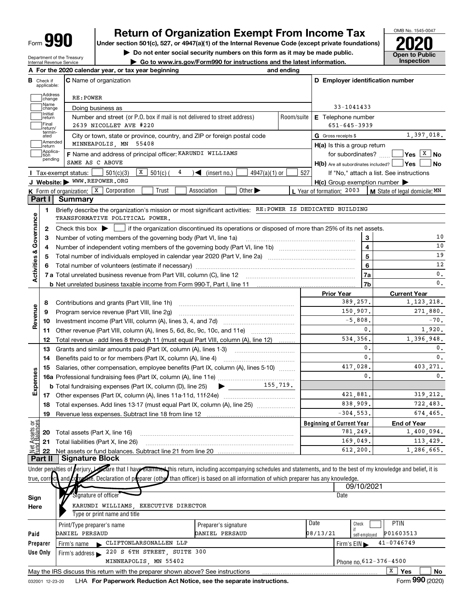Form 990

# **990** Return of Organization Exempt From Income Tax **Department Prom Income Tax** Under section 501(c), 527, or 4947(a)(1) of the Internal Revenue Code (except private foundations) **2020**

OMB No. 1545-0047

 $\sum$  Do not enter social security numbers on this form as it may be made public.<br>  $\sum$  Do not enter social security numbers on this form as it may be made public.<br>  $\sum$  Go to www.irs.gov/Form990 for instructions and the l

Department of the Treasury Internal Revenue Service | Go to www.irs.gov/Form990 for instructions and the latest information. Inspection

|                                |                                  | A For the 2020 calendar year, or tax year beginning                                                                                                                                                                                                                                                | and ending |                                                     |                        |                |                                                  |                                                                           |
|--------------------------------|----------------------------------|----------------------------------------------------------------------------------------------------------------------------------------------------------------------------------------------------------------------------------------------------------------------------------------------------|------------|-----------------------------------------------------|------------------------|----------------|--------------------------------------------------|---------------------------------------------------------------------------|
|                                | <b>B</b> Check if<br>applicable: | <b>C</b> Name of organization                                                                                                                                                                                                                                                                      |            |                                                     |                        |                | D Employer identification number                 |                                                                           |
|                                | Address<br>change                | RE: POWER                                                                                                                                                                                                                                                                                          |            |                                                     |                        |                |                                                  |                                                                           |
|                                | Name<br>change                   | Doing business as                                                                                                                                                                                                                                                                                  |            |                                                     | 33-1041433             |                |                                                  |                                                                           |
|                                | Initial<br>return<br>Final       | Number and street (or P.O. box if mail is not delivered to street address)<br>2639 NICOLLET AVE #220                                                                                                                                                                                               | Room/suite | E Telephone number                                  | $651 - 645 - 3939$     |                |                                                  |                                                                           |
|                                | return/<br>termin-<br>ated       | City or town, state or province, country, and ZIP or foreign postal code                                                                                                                                                                                                                           |            | G Gross receipts \$                                 |                        |                |                                                  | 1,397,018.                                                                |
|                                | Amended<br>return                | MINNEAPOLIS, MN 55408                                                                                                                                                                                                                                                                              |            | H(a) Is this a group return                         |                        |                |                                                  |                                                                           |
|                                | Applica-<br>tion                 | F Name and address of principal officer: KARUNDI WILLIAMS                                                                                                                                                                                                                                          |            |                                                     | for subordinates?      |                |                                                  | $ {\mathsf Y}{\mathsf e}{\mathsf s} \:\:   \overline{{\mathsf x}}\;  $ No |
|                                | pending                          | SAME AS C ABOVE                                                                                                                                                                                                                                                                                    |            |                                                     |                        |                | $H(b)$ Are all subordinates included? $\Box$ Yes | No.                                                                       |
|                                |                                  | $\boxed{\textbf{X}}$ 501(c) (<br>501(c)(3)<br>4<br>$\sum$ (insert no.)<br>$4947(a)(1)$ or<br>Tax-exempt status: [                                                                                                                                                                                  | 527        |                                                     |                        |                | If "No," attach a list. See instructions         |                                                                           |
|                                |                                  | J Website: WWW.REPOWER.ORG                                                                                                                                                                                                                                                                         |            | $H(c)$ Group exemption number $\blacktriangleright$ |                        |                |                                                  |                                                                           |
|                                | <b>Part I</b>                    | <b>K</b> Form of organization: $\boxed{\textbf{x}}$ Corporation<br>Other $\blacktriangleright$<br>Trust<br>Association<br><b>Summary</b>                                                                                                                                                           |            | L Year of formation: 2003                           |                        |                | M State of legal domicile: MN                    |                                                                           |
|                                | 1                                | Briefly describe the organization's mission or most significant activities: RE: POWER IS DEDICATED BUILDING                                                                                                                                                                                        |            |                                                     |                        |                |                                                  |                                                                           |
|                                |                                  | TRANSFORMATIVE POLITICAL POWER.                                                                                                                                                                                                                                                                    |            |                                                     |                        |                |                                                  |                                                                           |
|                                | 2                                | Check this box $\blacktriangleright$   if the organization discontinued its operations or disposed of more than 25% of its net assets.                                                                                                                                                             |            |                                                     |                        |                |                                                  |                                                                           |
| Governance                     | 3                                |                                                                                                                                                                                                                                                                                                    |            | 3                                                   |                        | 10             |                                                  |                                                                           |
|                                | 4                                |                                                                                                                                                                                                                                                                                                    |            | $\overline{\mathbf{4}}$                             |                        | 10             |                                                  |                                                                           |
| <b>Activities &amp;</b>        | 5                                |                                                                                                                                                                                                                                                                                                    |            | 5                                                   |                        | 19             |                                                  |                                                                           |
|                                | 6                                |                                                                                                                                                                                                                                                                                                    |            |                                                     |                        | 6              |                                                  | 12                                                                        |
|                                |                                  |                                                                                                                                                                                                                                                                                                    |            |                                                     |                        | 7a             |                                                  | 0.                                                                        |
|                                |                                  |                                                                                                                                                                                                                                                                                                    |            |                                                     |                        | 7b             |                                                  | $\mathbf{0}$ .                                                            |
|                                |                                  |                                                                                                                                                                                                                                                                                                    |            | <b>Prior Year</b>                                   |                        |                | <b>Current Year</b>                              |                                                                           |
|                                | 8                                |                                                                                                                                                                                                                                                                                                    |            |                                                     | 389,257.               |                |                                                  | 1, 123, 218.<br>271,880.                                                  |
| Revenue                        | 9                                | Program service revenue (Part VIII, line 2g)                                                                                                                                                                                                                                                       |            |                                                     | 150,907.<br>$-5,808$ . |                |                                                  | $-70.$                                                                    |
|                                | 10                               |                                                                                                                                                                                                                                                                                                    |            |                                                     |                        | 0.             |                                                  | 1,920.                                                                    |
|                                | 11                               | Other revenue (Part VIII, column (A), lines 5, 6d, 8c, 9c, 10c, and 11e)                                                                                                                                                                                                                           |            |                                                     | 534,356.               |                |                                                  | 1,396,948.                                                                |
|                                | 12<br>13                         | Total revenue - add lines 8 through 11 (must equal Part VIII, column (A), line 12)<br>Grants and similar amounts paid (Part IX, column (A), lines 1-3)                                                                                                                                             |            |                                                     |                        | 0.             |                                                  | 0.                                                                        |
|                                | 14                               | Benefits paid to or for members (Part IX, column (A), line 4)                                                                                                                                                                                                                                      |            |                                                     |                        | $\mathbf{0}$ . |                                                  | $\mathbf{0}$ .                                                            |
|                                | 15                               | Salaries, other compensation, employee benefits (Part IX, column (A), lines 5-10)                                                                                                                                                                                                                  |            |                                                     | 417,028.               |                |                                                  | 403,271.                                                                  |
| Expenses                       |                                  |                                                                                                                                                                                                                                                                                                    |            |                                                     |                        | 0.             |                                                  | 0.                                                                        |
|                                |                                  |                                                                                                                                                                                                                                                                                                    |            |                                                     |                        |                |                                                  |                                                                           |
|                                |                                  |                                                                                                                                                                                                                                                                                                    |            |                                                     | 421,881.               |                |                                                  | 319, 212.                                                                 |
|                                |                                  | 18 Total expenses. Add lines 13-17 (must equal Part IX, column (A), line 25)                                                                                                                                                                                                                       |            |                                                     | 838,909.               |                |                                                  | 722,483.                                                                  |
|                                |                                  | 19 Revenue less expenses. Subtract line 18 from line 12                                                                                                                                                                                                                                            |            |                                                     | $-304, 553.$           |                |                                                  | 674,465.                                                                  |
|                                |                                  |                                                                                                                                                                                                                                                                                                    |            | <b>Beginning of Current Year</b>                    |                        |                | <b>End of Year</b>                               |                                                                           |
| Net Assets or<br>Eund Balances | 20                               | Total assets (Part X, line 16)                                                                                                                                                                                                                                                                     |            |                                                     | 781,249.               |                |                                                  | 1,400,094.                                                                |
|                                | 21                               | Total liabilities (Part X, line 26)                                                                                                                                                                                                                                                                |            |                                                     | 169,049.               |                |                                                  | 113,429.                                                                  |
|                                | 22                               | Net assets or fund balances. Subtract line 21 from line 20                                                                                                                                                                                                                                         |            |                                                     | 612,200,               |                |                                                  | 1,286,665.                                                                |
|                                | <b>Part II</b>                   | <b>Signature Block</b>                                                                                                                                                                                                                                                                             |            |                                                     |                        |                |                                                  |                                                                           |
|                                |                                  | Under penalties of berjury, are that I have examined this return, including accompanying schedules and statements, and to the best of my knowledge and belief, it is<br>and compare. Declaration of preparer (other than officer) is based on all information of which preparer has any knowledge. |            |                                                     |                        |                |                                                  |                                                                           |
|                                | true, correct                    |                                                                                                                                                                                                                                                                                                    |            |                                                     | 09/10/2021             |                |                                                  |                                                                           |
|                                |                                  | Signature of officer                                                                                                                                                                                                                                                                               |            |                                                     | Date                   |                |                                                  |                                                                           |
| Sign<br>Here                   |                                  | KARUNDI WILLIAMS, EXECUTIVE DIRECTOR                                                                                                                                                                                                                                                               |            |                                                     |                        |                |                                                  |                                                                           |
|                                |                                  | Type or print name and title                                                                                                                                                                                                                                                                       |            |                                                     |                        |                |                                                  |                                                                           |
|                                |                                  | Print/Type preparer's name<br>Preparer's signature                                                                                                                                                                                                                                                 |            | Date                                                | Check                  |                | <b>PTIN</b>                                      |                                                                           |
| Paid                           |                                  | DANIEL PERSAUD<br>DANIEL PERSAUD                                                                                                                                                                                                                                                                   |            | 08/13/21                                            | self-employed          |                | P01603513                                        |                                                                           |
|                                | Preparer                         | CLIFTONLARSONALLEN LLP<br>Firm's name                                                                                                                                                                                                                                                              |            |                                                     | Firm's EIN             |                | 41-0746749                                       |                                                                           |
|                                | <b>Use Only</b>                  | 220 S 6TH STREET, SUITE 300<br>Firm's address                                                                                                                                                                                                                                                      |            |                                                     |                        |                |                                                  |                                                                           |
|                                |                                  | MINNEAPOLIS, MN 55402                                                                                                                                                                                                                                                                              |            |                                                     |                        |                | Phone no. 612-376-4500                           |                                                                           |
|                                |                                  | May the IRS discuss this return with the preparer shown above? See instructions                                                                                                                                                                                                                    |            |                                                     |                        |                | x<br>Yes                                         | No                                                                        |
|                                | 032001 12-23-20                  | LHA For Paperwork Reduction Act Notice, see the separate instructions.                                                                                                                                                                                                                             |            |                                                     |                        |                | Form 990 (2020)                                  |                                                                           |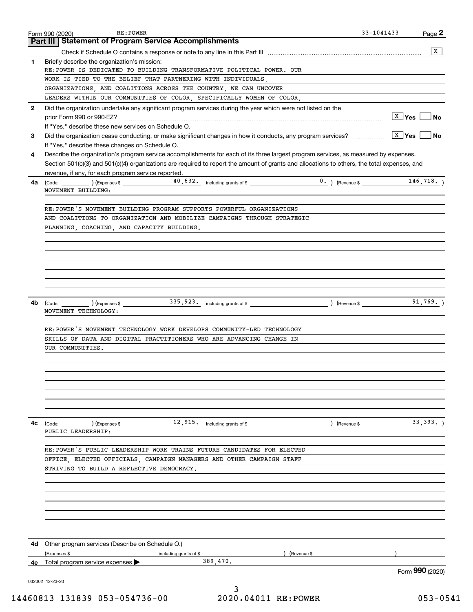|              | RE: POWER<br>Form 990 (2020)                                                                                                                                    | $33 - 1041433$                      | Page 2          |
|--------------|-----------------------------------------------------------------------------------------------------------------------------------------------------------------|-------------------------------------|-----------------|
|              | <b>Part III   Statement of Program Service Accomplishments</b>                                                                                                  |                                     |                 |
|              |                                                                                                                                                                 |                                     | X               |
| 1            | Briefly describe the organization's mission:<br>RE:POWER IS DEDICATED TO BUILDING TRANSFORMATIVE POLITICAL POWER. OUR                                           |                                     |                 |
|              | WORK IS TIED TO THE BELIEF THAT PARTNERING WITH INDIVIDUALS,                                                                                                    |                                     |                 |
|              | ORGANIZATIONS, AND COALITIONS ACROSS THE COUNTRY, WE CAN UNCOVER                                                                                                |                                     |                 |
|              | LEADERS WITHIN OUR COMMUNITIES OF COLOR, SPECIFICALLY WOMEN OF COLOR,                                                                                           |                                     |                 |
| $\mathbf{2}$ | Did the organization undertake any significant program services during the year which were not listed on the<br>prior Form 990 or 990-EZ?                       | <u>  x</u> ∣γes ∣                   | No              |
|              | If "Yes," describe these new services on Schedule O.                                                                                                            |                                     |                 |
| 3            | Did the organization cease conducting, or make significant changes in how it conducts, any program services?<br>If "Yes," describe these changes on Schedule O. | $\boxed{\text{X}}$ Yes $\boxed{\ }$ | No              |
| 4            | Describe the organization's program service accomplishments for each of its three largest program services, as measured by expenses.                            |                                     |                 |
|              | Section 501(c)(3) and 501(c)(4) organizations are required to report the amount of grants and allocations to others, the total expenses, and                    |                                     |                 |
|              | revenue, if any, for each program service reported.                                                                                                             |                                     |                 |
| 4a           | MOVEMENT BUILDING:                                                                                                                                              |                                     | 146, 718.       |
|              | RE:POWER'S MOVEMENT BUILDING PROGRAM SUPPORTS POWERFUL ORGANIZATIONS                                                                                            |                                     |                 |
|              | AND COALITIONS TO ORGANIZATION AND MOBILIZE CAMPAIGNS THROUGH STRATEGIC                                                                                         |                                     |                 |
|              | PLANNING, COACHING, AND CAPACITY BUILDING.                                                                                                                      |                                     |                 |
|              |                                                                                                                                                                 |                                     |                 |
|              |                                                                                                                                                                 |                                     |                 |
|              |                                                                                                                                                                 |                                     |                 |
|              |                                                                                                                                                                 |                                     |                 |
|              |                                                                                                                                                                 |                                     |                 |
|              |                                                                                                                                                                 |                                     |                 |
| 4b           |                                                                                                                                                                 |                                     | 91,769.         |
|              | MOVEMENT TECHNOLOGY:                                                                                                                                            |                                     |                 |
|              |                                                                                                                                                                 |                                     |                 |
|              | RE: POWER'S MOVEMENT TECHNOLOGY WORK DEVELOPS COMMUNITY-LED TECHNOLOGY                                                                                          |                                     |                 |
|              | SKILLS OF DATA AND DIGITAL PRACTITIONERS WHO ARE ADVANCING CHANGE IN                                                                                            |                                     |                 |
|              | OUR COMMUNITIES.                                                                                                                                                |                                     |                 |
|              |                                                                                                                                                                 |                                     |                 |
|              |                                                                                                                                                                 |                                     |                 |
|              |                                                                                                                                                                 |                                     |                 |
|              |                                                                                                                                                                 |                                     |                 |
|              |                                                                                                                                                                 |                                     |                 |
|              |                                                                                                                                                                 |                                     |                 |
|              |                                                                                                                                                                 |                                     |                 |
| 4с           | $\left(\text{Code:}\right)$ $\left(\text{Expenses $}\right)$ $\left(\text{Expenses $}\right)$                                                                   | $\left($ Revenue \$ $\right)$       | 33,393.         |
|              | PUBLIC LEADERSHIP:                                                                                                                                              |                                     |                 |
|              |                                                                                                                                                                 |                                     |                 |
|              | RE: POWER'S PUBLIC LEADERSHIP WORK TRAINS FUTURE CANDIDATES FOR ELECTED                                                                                         |                                     |                 |
|              | OFFICE, ELECTED OFFICIALS, CAMPAIGN MANAGERS AND OTHER CAMPAIGN STAFF                                                                                           |                                     |                 |
|              | STRIVING TO BUILD A REFLECTIVE DEMOCRACY.                                                                                                                       |                                     |                 |
|              |                                                                                                                                                                 |                                     |                 |
|              |                                                                                                                                                                 |                                     |                 |
|              |                                                                                                                                                                 |                                     |                 |
|              |                                                                                                                                                                 |                                     |                 |
|              |                                                                                                                                                                 |                                     |                 |
|              |                                                                                                                                                                 |                                     |                 |
|              |                                                                                                                                                                 |                                     |                 |
|              | <b>4d</b> Other program services (Describe on Schedule O.)                                                                                                      |                                     |                 |
|              | (Expenses \$<br>(Revenue \$<br>including grants of \$                                                                                                           |                                     |                 |
|              | 389,470.<br><b>4e</b> Total program service expenses $\blacktriangleright$                                                                                      |                                     |                 |
|              |                                                                                                                                                                 |                                     | Form 990 (2020) |
|              | 032002 12-23-20                                                                                                                                                 |                                     |                 |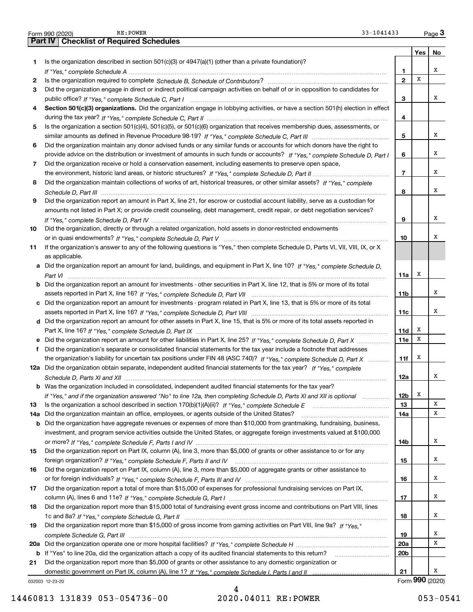|     | RE: POWER<br>33-1041433<br>Form 990 (2020)                                                                                            |                 |     | $Page$ 3        |
|-----|---------------------------------------------------------------------------------------------------------------------------------------|-----------------|-----|-----------------|
|     | <b>Part IV   Checklist of Required Schedules</b>                                                                                      |                 |     |                 |
|     |                                                                                                                                       |                 | Yes | No              |
| 1.  | Is the organization described in section 501(c)(3) or $4947(a)(1)$ (other than a private foundation)?                                 |                 |     |                 |
|     |                                                                                                                                       | 1               |     | х               |
| 2   |                                                                                                                                       | $\overline{2}$  | X   |                 |
| 3   | Did the organization engage in direct or indirect political campaign activities on behalf of or in opposition to candidates for       |                 |     |                 |
|     |                                                                                                                                       | 3               |     | х               |
| 4   | Section 501(c)(3) organizations. Did the organization engage in lobbying activities, or have a section 501(h) election in effect      |                 |     |                 |
|     |                                                                                                                                       | 4               |     |                 |
| 5   | Is the organization a section 501(c)(4), 501(c)(5), or 501(c)(6) organization that receives membership dues, assessments, or          |                 |     |                 |
|     |                                                                                                                                       | 5               |     | х               |
| 6   | Did the organization maintain any donor advised funds or any similar funds or accounts for which donors have the right to             |                 |     |                 |
|     | provide advice on the distribution or investment of amounts in such funds or accounts? If "Yes," complete Schedule D, Part I          | 6               |     | х               |
| 7   | Did the organization receive or hold a conservation easement, including easements to preserve open space,                             |                 |     |                 |
|     |                                                                                                                                       | $\overline{7}$  |     | х               |
| 8   | Did the organization maintain collections of works of art, historical treasures, or other similar assets? If "Yes," complete          |                 |     |                 |
|     |                                                                                                                                       | 8               |     | х               |
|     |                                                                                                                                       |                 |     |                 |
| 9   | Did the organization report an amount in Part X, line 21, for escrow or custodial account liability, serve as a custodian for         |                 |     |                 |
|     | amounts not listed in Part X; or provide credit counseling, debt management, credit repair, or debt negotiation services?             |                 |     |                 |
|     |                                                                                                                                       | 9               |     | х               |
| 10  | Did the organization, directly or through a related organization, hold assets in donor-restricted endowments                          |                 |     |                 |
|     |                                                                                                                                       | 10              |     | х               |
| 11  | If the organization's answer to any of the following questions is "Yes," then complete Schedule D, Parts VI, VII, VIII, IX, or X      |                 |     |                 |
|     | as applicable.                                                                                                                        |                 |     |                 |
|     | a Did the organization report an amount for land, buildings, and equipment in Part X, line 10? If "Yes," complete Schedule D,         |                 |     |                 |
|     |                                                                                                                                       | 11a             | x   |                 |
|     | <b>b</b> Did the organization report an amount for investments - other securities in Part X, line 12, that is 5% or more of its total |                 |     |                 |
|     |                                                                                                                                       | 11b             |     | х               |
|     | c Did the organization report an amount for investments - program related in Part X, line 13, that is 5% or more of its total         |                 |     |                 |
|     |                                                                                                                                       | 11c             |     | х               |
|     | d Did the organization report an amount for other assets in Part X, line 15, that is 5% or more of its total assets reported in       |                 |     |                 |
|     |                                                                                                                                       | 11d             | x   |                 |
|     | e Did the organization report an amount for other liabilities in Part X, line 25? If "Yes," complete Schedule D, Part X               | 11e             | х   |                 |
| f   | Did the organization's separate or consolidated financial statements for the tax year include a footnote that addresses               |                 |     |                 |
|     | the organization's liability for uncertain tax positions under FIN 48 (ASC 740)? If "Yes," complete Schedule D, Part X                | 11f             | х   |                 |
|     | 12a Did the organization obtain separate, independent audited financial statements for the tax year? If "Yes," complete               |                 |     |                 |
|     |                                                                                                                                       | 12a             |     |                 |
|     | <b>b</b> Was the organization included in consolidated, independent audited financial statements for the tax year?                    |                 |     |                 |
|     | If "Yes," and if the organization answered "No" to line 12a, then completing Schedule D, Parts XI and XII is optional manum           | 12b             | x   |                 |
| 13  |                                                                                                                                       | 13              |     | х               |
| 14a | Did the organization maintain an office, employees, or agents outside of the United States?                                           | 14a             |     | х               |
|     | <b>b</b> Did the organization have aggregate revenues or expenses of more than \$10,000 from grantmaking, fundraising, business,      |                 |     |                 |
|     | investment, and program service activities outside the United States, or aggregate foreign investments valued at \$100,000            |                 |     |                 |
|     |                                                                                                                                       | 14b             |     | х               |
| 15  | Did the organization report on Part IX, column (A), line 3, more than \$5,000 of grants or other assistance to or for any             |                 |     |                 |
|     |                                                                                                                                       | 15              |     | х               |
| 16  | Did the organization report on Part IX, column (A), line 3, more than \$5,000 of aggregate grants or other assistance to              |                 |     |                 |
|     |                                                                                                                                       | 16              |     | х               |
| 17  | Did the organization report a total of more than \$15,000 of expenses for professional fundraising services on Part IX,               |                 |     |                 |
|     |                                                                                                                                       | 17              |     | х               |
| 18  | Did the organization report more than \$15,000 total of fundraising event gross income and contributions on Part VIII, lines          |                 |     |                 |
|     |                                                                                                                                       | 18              |     | х               |
|     |                                                                                                                                       |                 |     |                 |
| 19  | Did the organization report more than \$15,000 of gross income from gaming activities on Part VIII, line 9a? If "Yes."                |                 |     |                 |
|     |                                                                                                                                       | 19              |     | x               |
|     |                                                                                                                                       | 20a             |     | х               |
|     | b If "Yes" to line 20a, did the organization attach a copy of its audited financial statements to this return?                        | 20 <sub>b</sub> |     |                 |
| 21  | Did the organization report more than \$5,000 of grants or other assistance to any domestic organization or                           |                 |     |                 |
|     |                                                                                                                                       | 21              |     | x               |
|     | 032003 12-23-20                                                                                                                       |                 |     | Form 990 (2020) |

032003 12-23-20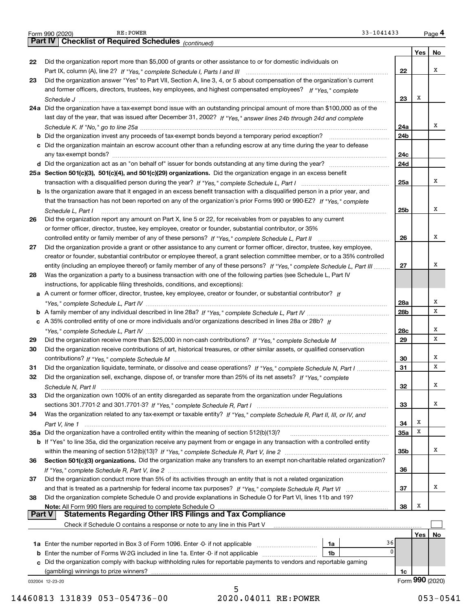|          | 33-1041433<br>RE: POWER<br>Form 990 (2020)                                                                                   |           |     | Page 4          |
|----------|------------------------------------------------------------------------------------------------------------------------------|-----------|-----|-----------------|
|          | Part IV   Checklist of Required Schedules (continued)                                                                        |           |     |                 |
|          |                                                                                                                              |           | Yes | No              |
| 22       | Did the organization report more than \$5,000 of grants or other assistance to or for domestic individuals on                |           |     |                 |
|          |                                                                                                                              | 22        |     | х               |
| 23       | Did the organization answer "Yes" to Part VII, Section A, line 3, 4, or 5 about compensation of the organization's current   |           |     |                 |
|          | and former officers, directors, trustees, key employees, and highest compensated employees? If "Yes," complete               |           |     |                 |
|          |                                                                                                                              | 23        | х   |                 |
|          | 24a Did the organization have a tax-exempt bond issue with an outstanding principal amount of more than \$100,000 as of the  |           |     |                 |
|          | last day of the year, that was issued after December 31, 2002? If "Yes," answer lines 24b through 24d and complete           |           |     |                 |
|          |                                                                                                                              | 24a       |     | х               |
|          |                                                                                                                              | 24b       |     |                 |
|          | c Did the organization maintain an escrow account other than a refunding escrow at any time during the year to defease       |           |     |                 |
|          |                                                                                                                              | 24c       |     |                 |
|          |                                                                                                                              | 24d       |     |                 |
|          | 25a Section 501(c)(3), 501(c)(4), and 501(c)(29) organizations. Did the organization engage in an excess benefit             |           |     |                 |
|          |                                                                                                                              | 25a       |     | х               |
|          | b Is the organization aware that it engaged in an excess benefit transaction with a disqualified person in a prior year, and |           |     |                 |
|          | that the transaction has not been reported on any of the organization's prior Forms 990 or 990-EZ? If "Yes," complete        |           |     |                 |
|          | Schedule L, Part I                                                                                                           | 25b       |     | х               |
| 26       | Did the organization report any amount on Part X, line 5 or 22, for receivables from or payables to any current              |           |     |                 |
|          | or former officer, director, trustee, key employee, creator or founder, substantial contributor, or 35%                      |           |     |                 |
|          |                                                                                                                              | 26        |     | х               |
| 27       | Did the organization provide a grant or other assistance to any current or former officer, director, trustee, key employee,  |           |     |                 |
|          | creator or founder, substantial contributor or employee thereof, a grant selection committee member, or to a 35% controlled  |           |     |                 |
|          | entity (including an employee thereof) or family member of any of these persons? If "Yes," complete Schedule L, Part III     | 27        |     | х               |
| 28       | Was the organization a party to a business transaction with one of the following parties (see Schedule L, Part IV            |           |     |                 |
|          | instructions, for applicable filing thresholds, conditions, and exceptions):                                                 |           |     |                 |
|          | a A current or former officer, director, trustee, key employee, creator or founder, or substantial contributor? If           |           |     |                 |
|          |                                                                                                                              | 28a       |     | х<br>X          |
|          |                                                                                                                              | 28b       |     |                 |
|          | c A 35% controlled entity of one or more individuals and/or organizations described in lines 28a or 28b? If                  |           |     | х               |
|          |                                                                                                                              | 28c<br>29 |     | X               |
| 29<br>30 |                                                                                                                              |           |     |                 |
|          | Did the organization receive contributions of art, historical treasures, or other similar assets, or qualified conservation  | 30        |     | х               |
| 31       | Did the organization liquidate, terminate, or dissolve and cease operations? If "Yes," complete Schedule N, Part I           | 31        |     | X               |
| 32       | Did the organization sell, exchange, dispose of, or transfer more than 25% of its net assets? If "Yes," complete             |           |     |                 |
|          |                                                                                                                              | 32        |     | х               |
| 33       | Did the organization own 100% of an entity disregarded as separate from the organization under Regulations                   |           |     |                 |
|          |                                                                                                                              | 33        |     | х               |
| 34       | Was the organization related to any tax-exempt or taxable entity? If "Yes," complete Schedule R, Part II, III, or IV, and    |           |     |                 |
|          |                                                                                                                              | 34        | х   |                 |
|          |                                                                                                                              | 35a       | X   |                 |
|          | b If "Yes" to line 35a, did the organization receive any payment from or engage in any transaction with a controlled entity  |           |     |                 |
|          |                                                                                                                              | 35b       |     | х               |
| 36       | Section 501(c)(3) organizations. Did the organization make any transfers to an exempt non-charitable related organization?   |           |     |                 |
|          |                                                                                                                              | 36        |     |                 |
| 37       | Did the organization conduct more than 5% of its activities through an entity that is not a related organization             |           |     |                 |
|          |                                                                                                                              | 37        |     | х               |
| 38       | Did the organization complete Schedule O and provide explanations in Schedule O for Part VI, lines 11b and 19?               |           |     |                 |
|          | Note: All Form 990 filers are required to complete Schedule O<br>Statements Regarding Other IRS Filings and Tax Compliance   | 38        | X   |                 |
|          | <b>Part V</b>                                                                                                                |           |     |                 |
|          | Check if Schedule O contains a response or note to any line in this Part V                                                   |           |     |                 |
|          | 36                                                                                                                           |           | Yes | No              |
|          | 1a<br>1b                                                                                                                     | $\Omega$  |     |                 |
|          | c Did the organization comply with backup withholding rules for reportable payments to vendors and reportable gaming         |           |     |                 |
|          | (gambling) winnings to prize winners?                                                                                        | 1c        |     |                 |
|          | 032004 12-23-20                                                                                                              |           |     | Form 990 (2020) |
|          | Б.                                                                                                                           |           |     |                 |

2020.04011 RE: POWER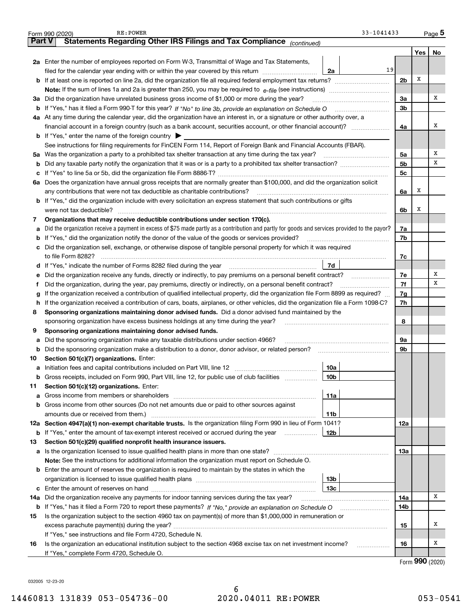|               | RE: POWER<br>Form 990 (2020)                                                                                                                                                  | 33-1041433      |                |                            | <u>Page</u> 5 |
|---------------|-------------------------------------------------------------------------------------------------------------------------------------------------------------------------------|-----------------|----------------|----------------------------|---------------|
| <b>Part V</b> | Statements Regarding Other IRS Filings and Tax Compliance (continued)                                                                                                         |                 |                |                            |               |
|               |                                                                                                                                                                               |                 |                | Yes                        | No            |
|               | 2a Enter the number of employees reported on Form W-3, Transmittal of Wage and Tax Statements,                                                                                |                 |                |                            |               |
|               | filed for the calendar year ending with or within the year covered by this return [11] [11] filed for the calendar year ending with or within the year covered by this return | 19<br>2a        |                |                            |               |
|               |                                                                                                                                                                               |                 | 2 <sub>b</sub> | X                          |               |
|               |                                                                                                                                                                               |                 |                |                            |               |
| За            | Did the organization have unrelated business gross income of \$1,000 or more during the year?                                                                                 |                 | За             |                            | x             |
|               |                                                                                                                                                                               |                 | 3b             |                            |               |
|               | 4a At any time during the calendar year, did the organization have an interest in, or a signature or other authority over, a                                                  |                 |                |                            |               |
|               |                                                                                                                                                                               |                 | 4a             |                            | X             |
|               | <b>b</b> If "Yes," enter the name of the foreign country $\blacktriangleright$                                                                                                |                 |                |                            |               |
|               | See instructions for filing requirements for FinCEN Form 114, Report of Foreign Bank and Financial Accounts (FBAR).                                                           |                 |                |                            |               |
|               |                                                                                                                                                                               |                 |                |                            | Х             |
| 5a            |                                                                                                                                                                               |                 | 5a             |                            | х             |
| b             |                                                                                                                                                                               |                 | 5b             |                            |               |
|               |                                                                                                                                                                               |                 | 5c             |                            |               |
| ба            | Does the organization have annual gross receipts that are normally greater than \$100,000, and did the organization solicit                                                   |                 |                |                            |               |
|               | any contributions that were not tax deductible as charitable contributions?                                                                                                   |                 | 6a             | x                          |               |
|               | b If "Yes," did the organization include with every solicitation an express statement that such contributions or gifts                                                        |                 |                |                            |               |
|               | were not tax deductible?                                                                                                                                                      |                 | 6b             | x                          |               |
| 7             | Organizations that may receive deductible contributions under section 170(c).                                                                                                 |                 |                |                            |               |
| а             | Did the organization receive a payment in excess of \$75 made partly as a contribution and partly for goods and services provided to the payor?                               |                 | 7a             |                            |               |
| b             | If "Yes," did the organization notify the donor of the value of the goods or services provided?                                                                               |                 | 7b             |                            |               |
|               | c Did the organization sell, exchange, or otherwise dispose of tangible personal property for which it was required                                                           |                 |                |                            |               |
|               |                                                                                                                                                                               |                 | 7c             |                            |               |
|               |                                                                                                                                                                               | 7d              |                |                            |               |
| е             |                                                                                                                                                                               |                 | 7e             |                            | x             |
|               | Did the organization, during the year, pay premiums, directly or indirectly, on a personal benefit contract?                                                                  |                 | 7f             |                            | x             |
| g             | If the organization received a contribution of qualified intellectual property, did the organization file Form 8899 as required?                                              |                 | 7g             |                            |               |
| h             | If the organization received a contribution of cars, boats, airplanes, or other vehicles, did the organization file a Form 1098-C?                                            |                 | 7h             |                            |               |
| 8             | Sponsoring organizations maintaining donor advised funds. Did a donor advised fund maintained by the                                                                          |                 |                |                            |               |
|               | sponsoring organization have excess business holdings at any time during the year?                                                                                            |                 | 8              |                            |               |
| 9             | Sponsoring organizations maintaining donor advised funds.                                                                                                                     |                 |                |                            |               |
| а             | Did the sponsoring organization make any taxable distributions under section 4966?                                                                                            |                 | 9a             |                            |               |
| b             | Did the sponsoring organization make a distribution to a donor, donor advisor, or related person?                                                                             |                 | 9b             |                            |               |
| 10            | Section 501(c)(7) organizations. Enter:                                                                                                                                       |                 |                |                            |               |
|               |                                                                                                                                                                               | 10a             |                |                            |               |
| а             | Gross receipts, included on Form 990, Part VIII, line 12, for public use of club facilities                                                                                   | 10 <sub>b</sub> |                |                            |               |
| b             |                                                                                                                                                                               |                 |                |                            |               |
| 11            | Section 501(c)(12) organizations. Enter:                                                                                                                                      |                 |                |                            |               |
| а             | Gross income from members or shareholders                                                                                                                                     | 11a             |                |                            |               |
|               | <b>b</b> Gross income from other sources (Do not net amounts due or paid to other sources against                                                                             |                 |                |                            |               |
|               | amounts due or received from them.)                                                                                                                                           | 11b             |                |                            |               |
|               | 12a Section 4947(a)(1) non-exempt charitable trusts. Is the organization filing Form 990 in lieu of Form 1041?                                                                |                 | 12a            |                            |               |
|               | <b>b</b> If "Yes," enter the amount of tax-exempt interest received or accrued during the year <i>manument</i>                                                                | 12 <sub>b</sub> |                |                            |               |
| 13            | Section 501(c)(29) qualified nonprofit health insurance issuers.                                                                                                              |                 |                |                            |               |
|               | a Is the organization licensed to issue qualified health plans in more than one state?                                                                                        |                 | 13а            |                            |               |
|               | Note: See the instructions for additional information the organization must report on Schedule O.                                                                             |                 |                |                            |               |
|               | <b>b</b> Enter the amount of reserves the organization is required to maintain by the states in which the                                                                     |                 |                |                            |               |
|               |                                                                                                                                                                               | 13b             |                |                            |               |
|               |                                                                                                                                                                               | 13 <sub>c</sub> |                |                            |               |
| 14a           | Did the organization receive any payments for indoor tanning services during the tax year?                                                                                    |                 | 14a            |                            | x             |
|               | <b>b</b> If "Yes," has it filed a Form 720 to report these payments? If "No," provide an explanation on Schedule O                                                            |                 | 14b            |                            |               |
| 15            | Is the organization subject to the section 4960 tax on payment(s) of more than \$1,000,000 in remuneration or                                                                 |                 |                |                            |               |
|               |                                                                                                                                                                               |                 | 15             |                            | x             |
|               | If "Yes," see instructions and file Form 4720, Schedule N.                                                                                                                    |                 |                |                            |               |
| 16            | Is the organization an educational institution subject to the section 4968 excise tax on net investment income?                                                               |                 | 16             |                            | x             |
|               | If "Yes," complete Form 4720, Schedule O.                                                                                                                                     |                 |                |                            |               |
|               |                                                                                                                                                                               |                 |                | $F_{2}$ $\sim$ 000 $(0000$ |               |

Form 990 (2020)

032005 12-23-20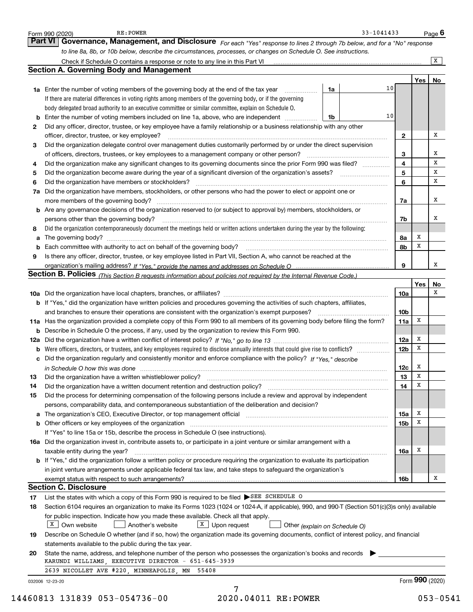| 2<br>з<br>4<br>5<br>6<br>7a<br>8<br>a<br>9 | <b>Section A. Governing Body and Management</b><br>10<br><b>1a</b> Enter the number of voting members of the governing body at the end of the tax year <i>manumum</i><br>1a<br>If there are material differences in voting rights among members of the governing body, or if the governing<br>body delegated broad authority to an executive committee or similar committee, explain on Schedule O.<br>10<br><b>b</b> Enter the number of voting members included on line 1a, above, who are independent <i>manument</i> in<br>1b<br>Did any officer, director, trustee, or key employee have a family relationship or a business relationship with any other<br>officer, director, trustee, or key employee?<br>Did the organization delegate control over management duties customarily performed by or under the direct supervision<br>Did the organization make any significant changes to its governing documents since the prior Form 990 was filed?<br>Did the organization have members or stockholders?<br>Did the organization have members, stockholders, or other persons who had the power to elect or appoint one or<br>more members of the governing body?<br><b>b</b> Are any governance decisions of the organization reserved to (or subject to approval by) members, stockholders, or<br>persons other than the governing body?<br>Did the organization contemporaneously document the meetings held or written actions undertaken during the year by the following:<br>Is there any officer, director, trustee, or key employee listed in Part VII, Section A, who cannot be reached at the | $\mathbf{2}$<br>3<br>4<br>5<br>6<br>7a<br>7b<br>8а<br>8b | Yes l           | $\overline{X}$<br>No<br>х<br>х<br>x<br>х<br>х<br>х |
|--------------------------------------------|-----------------------------------------------------------------------------------------------------------------------------------------------------------------------------------------------------------------------------------------------------------------------------------------------------------------------------------------------------------------------------------------------------------------------------------------------------------------------------------------------------------------------------------------------------------------------------------------------------------------------------------------------------------------------------------------------------------------------------------------------------------------------------------------------------------------------------------------------------------------------------------------------------------------------------------------------------------------------------------------------------------------------------------------------------------------------------------------------------------------------------------------------------------------------------------------------------------------------------------------------------------------------------------------------------------------------------------------------------------------------------------------------------------------------------------------------------------------------------------------------------------------------------------------------------------------------------------------------------------------|----------------------------------------------------------|-----------------|----------------------------------------------------|
|                                            |                                                                                                                                                                                                                                                                                                                                                                                                                                                                                                                                                                                                                                                                                                                                                                                                                                                                                                                                                                                                                                                                                                                                                                                                                                                                                                                                                                                                                                                                                                                                                                                                                 |                                                          |                 |                                                    |
|                                            |                                                                                                                                                                                                                                                                                                                                                                                                                                                                                                                                                                                                                                                                                                                                                                                                                                                                                                                                                                                                                                                                                                                                                                                                                                                                                                                                                                                                                                                                                                                                                                                                                 |                                                          |                 |                                                    |
|                                            |                                                                                                                                                                                                                                                                                                                                                                                                                                                                                                                                                                                                                                                                                                                                                                                                                                                                                                                                                                                                                                                                                                                                                                                                                                                                                                                                                                                                                                                                                                                                                                                                                 |                                                          |                 |                                                    |
|                                            |                                                                                                                                                                                                                                                                                                                                                                                                                                                                                                                                                                                                                                                                                                                                                                                                                                                                                                                                                                                                                                                                                                                                                                                                                                                                                                                                                                                                                                                                                                                                                                                                                 |                                                          |                 |                                                    |
|                                            |                                                                                                                                                                                                                                                                                                                                                                                                                                                                                                                                                                                                                                                                                                                                                                                                                                                                                                                                                                                                                                                                                                                                                                                                                                                                                                                                                                                                                                                                                                                                                                                                                 |                                                          |                 |                                                    |
|                                            |                                                                                                                                                                                                                                                                                                                                                                                                                                                                                                                                                                                                                                                                                                                                                                                                                                                                                                                                                                                                                                                                                                                                                                                                                                                                                                                                                                                                                                                                                                                                                                                                                 |                                                          |                 |                                                    |
|                                            |                                                                                                                                                                                                                                                                                                                                                                                                                                                                                                                                                                                                                                                                                                                                                                                                                                                                                                                                                                                                                                                                                                                                                                                                                                                                                                                                                                                                                                                                                                                                                                                                                 |                                                          |                 |                                                    |
|                                            |                                                                                                                                                                                                                                                                                                                                                                                                                                                                                                                                                                                                                                                                                                                                                                                                                                                                                                                                                                                                                                                                                                                                                                                                                                                                                                                                                                                                                                                                                                                                                                                                                 |                                                          |                 |                                                    |
|                                            |                                                                                                                                                                                                                                                                                                                                                                                                                                                                                                                                                                                                                                                                                                                                                                                                                                                                                                                                                                                                                                                                                                                                                                                                                                                                                                                                                                                                                                                                                                                                                                                                                 |                                                          |                 |                                                    |
|                                            |                                                                                                                                                                                                                                                                                                                                                                                                                                                                                                                                                                                                                                                                                                                                                                                                                                                                                                                                                                                                                                                                                                                                                                                                                                                                                                                                                                                                                                                                                                                                                                                                                 |                                                          |                 |                                                    |
|                                            |                                                                                                                                                                                                                                                                                                                                                                                                                                                                                                                                                                                                                                                                                                                                                                                                                                                                                                                                                                                                                                                                                                                                                                                                                                                                                                                                                                                                                                                                                                                                                                                                                 |                                                          |                 |                                                    |
|                                            |                                                                                                                                                                                                                                                                                                                                                                                                                                                                                                                                                                                                                                                                                                                                                                                                                                                                                                                                                                                                                                                                                                                                                                                                                                                                                                                                                                                                                                                                                                                                                                                                                 |                                                          |                 |                                                    |
|                                            |                                                                                                                                                                                                                                                                                                                                                                                                                                                                                                                                                                                                                                                                                                                                                                                                                                                                                                                                                                                                                                                                                                                                                                                                                                                                                                                                                                                                                                                                                                                                                                                                                 |                                                          |                 |                                                    |
|                                            |                                                                                                                                                                                                                                                                                                                                                                                                                                                                                                                                                                                                                                                                                                                                                                                                                                                                                                                                                                                                                                                                                                                                                                                                                                                                                                                                                                                                                                                                                                                                                                                                                 |                                                          |                 |                                                    |
|                                            |                                                                                                                                                                                                                                                                                                                                                                                                                                                                                                                                                                                                                                                                                                                                                                                                                                                                                                                                                                                                                                                                                                                                                                                                                                                                                                                                                                                                                                                                                                                                                                                                                 |                                                          |                 |                                                    |
|                                            |                                                                                                                                                                                                                                                                                                                                                                                                                                                                                                                                                                                                                                                                                                                                                                                                                                                                                                                                                                                                                                                                                                                                                                                                                                                                                                                                                                                                                                                                                                                                                                                                                 |                                                          |                 |                                                    |
|                                            |                                                                                                                                                                                                                                                                                                                                                                                                                                                                                                                                                                                                                                                                                                                                                                                                                                                                                                                                                                                                                                                                                                                                                                                                                                                                                                                                                                                                                                                                                                                                                                                                                 |                                                          |                 | х                                                  |
|                                            |                                                                                                                                                                                                                                                                                                                                                                                                                                                                                                                                                                                                                                                                                                                                                                                                                                                                                                                                                                                                                                                                                                                                                                                                                                                                                                                                                                                                                                                                                                                                                                                                                 |                                                          |                 |                                                    |
|                                            |                                                                                                                                                                                                                                                                                                                                                                                                                                                                                                                                                                                                                                                                                                                                                                                                                                                                                                                                                                                                                                                                                                                                                                                                                                                                                                                                                                                                                                                                                                                                                                                                                 |                                                          | х               |                                                    |
|                                            |                                                                                                                                                                                                                                                                                                                                                                                                                                                                                                                                                                                                                                                                                                                                                                                                                                                                                                                                                                                                                                                                                                                                                                                                                                                                                                                                                                                                                                                                                                                                                                                                                 |                                                          | X               |                                                    |
|                                            |                                                                                                                                                                                                                                                                                                                                                                                                                                                                                                                                                                                                                                                                                                                                                                                                                                                                                                                                                                                                                                                                                                                                                                                                                                                                                                                                                                                                                                                                                                                                                                                                                 |                                                          |                 |                                                    |
|                                            |                                                                                                                                                                                                                                                                                                                                                                                                                                                                                                                                                                                                                                                                                                                                                                                                                                                                                                                                                                                                                                                                                                                                                                                                                                                                                                                                                                                                                                                                                                                                                                                                                 | 9                                                        |                 | X                                                  |
|                                            | Section B. Policies (This Section B requests information about policies not required by the Internal Revenue Code.)                                                                                                                                                                                                                                                                                                                                                                                                                                                                                                                                                                                                                                                                                                                                                                                                                                                                                                                                                                                                                                                                                                                                                                                                                                                                                                                                                                                                                                                                                             |                                                          |                 |                                                    |
|                                            |                                                                                                                                                                                                                                                                                                                                                                                                                                                                                                                                                                                                                                                                                                                                                                                                                                                                                                                                                                                                                                                                                                                                                                                                                                                                                                                                                                                                                                                                                                                                                                                                                 |                                                          | Yes             | No                                                 |
|                                            |                                                                                                                                                                                                                                                                                                                                                                                                                                                                                                                                                                                                                                                                                                                                                                                                                                                                                                                                                                                                                                                                                                                                                                                                                                                                                                                                                                                                                                                                                                                                                                                                                 | <b>10a</b>                                               |                 | X                                                  |
|                                            | b If "Yes," did the organization have written policies and procedures governing the activities of such chapters, affiliates,                                                                                                                                                                                                                                                                                                                                                                                                                                                                                                                                                                                                                                                                                                                                                                                                                                                                                                                                                                                                                                                                                                                                                                                                                                                                                                                                                                                                                                                                                    |                                                          |                 |                                                    |
|                                            |                                                                                                                                                                                                                                                                                                                                                                                                                                                                                                                                                                                                                                                                                                                                                                                                                                                                                                                                                                                                                                                                                                                                                                                                                                                                                                                                                                                                                                                                                                                                                                                                                 | 10 <sub>b</sub>                                          |                 |                                                    |
|                                            | 11a Has the organization provided a complete copy of this Form 990 to all members of its governing body before filing the form?                                                                                                                                                                                                                                                                                                                                                                                                                                                                                                                                                                                                                                                                                                                                                                                                                                                                                                                                                                                                                                                                                                                                                                                                                                                                                                                                                                                                                                                                                 | 11a                                                      | Х               |                                                    |
|                                            | <b>b</b> Describe in Schedule O the process, if any, used by the organization to review this Form 990.                                                                                                                                                                                                                                                                                                                                                                                                                                                                                                                                                                                                                                                                                                                                                                                                                                                                                                                                                                                                                                                                                                                                                                                                                                                                                                                                                                                                                                                                                                          |                                                          |                 |                                                    |
|                                            |                                                                                                                                                                                                                                                                                                                                                                                                                                                                                                                                                                                                                                                                                                                                                                                                                                                                                                                                                                                                                                                                                                                                                                                                                                                                                                                                                                                                                                                                                                                                                                                                                 | 12a                                                      | х               |                                                    |
|                                            | <b>b</b> Were officers, directors, or trustees, and key employees required to disclose annually interests that could give rise to conflicts?                                                                                                                                                                                                                                                                                                                                                                                                                                                                                                                                                                                                                                                                                                                                                                                                                                                                                                                                                                                                                                                                                                                                                                                                                                                                                                                                                                                                                                                                    | 12 <sub>b</sub>                                          | x               |                                                    |
|                                            | c Did the organization regularly and consistently monitor and enforce compliance with the policy? If "Yes." describe                                                                                                                                                                                                                                                                                                                                                                                                                                                                                                                                                                                                                                                                                                                                                                                                                                                                                                                                                                                                                                                                                                                                                                                                                                                                                                                                                                                                                                                                                            |                                                          |                 |                                                    |
|                                            | in Schedule O how this was done manufactured and continuum control of the state of the state of the state of t                                                                                                                                                                                                                                                                                                                                                                                                                                                                                                                                                                                                                                                                                                                                                                                                                                                                                                                                                                                                                                                                                                                                                                                                                                                                                                                                                                                                                                                                                                  | 12c                                                      | х               |                                                    |
| 13                                         | Did the organization have a written whistleblower policy?                                                                                                                                                                                                                                                                                                                                                                                                                                                                                                                                                                                                                                                                                                                                                                                                                                                                                                                                                                                                                                                                                                                                                                                                                                                                                                                                                                                                                                                                                                                                                       | 13                                                       | х               |                                                    |
| 14                                         | Did the organization have a written document retention and destruction policy?                                                                                                                                                                                                                                                                                                                                                                                                                                                                                                                                                                                                                                                                                                                                                                                                                                                                                                                                                                                                                                                                                                                                                                                                                                                                                                                                                                                                                                                                                                                                  | 14                                                       | X               |                                                    |
| 15                                         | Did the process for determining compensation of the following persons include a review and approval by independent                                                                                                                                                                                                                                                                                                                                                                                                                                                                                                                                                                                                                                                                                                                                                                                                                                                                                                                                                                                                                                                                                                                                                                                                                                                                                                                                                                                                                                                                                              |                                                          |                 |                                                    |
|                                            | persons, comparability data, and contemporaneous substantiation of the deliberation and decision?                                                                                                                                                                                                                                                                                                                                                                                                                                                                                                                                                                                                                                                                                                                                                                                                                                                                                                                                                                                                                                                                                                                                                                                                                                                                                                                                                                                                                                                                                                               |                                                          |                 |                                                    |
| а                                          | The organization's CEO, Executive Director, or top management official manufactured content content of the organization's CEO, Executive Director, or top management official                                                                                                                                                                                                                                                                                                                                                                                                                                                                                                                                                                                                                                                                                                                                                                                                                                                                                                                                                                                                                                                                                                                                                                                                                                                                                                                                                                                                                                   | 15a                                                      | Х               |                                                    |
|                                            |                                                                                                                                                                                                                                                                                                                                                                                                                                                                                                                                                                                                                                                                                                                                                                                                                                                                                                                                                                                                                                                                                                                                                                                                                                                                                                                                                                                                                                                                                                                                                                                                                 | 15 <sub>b</sub>                                          | х               |                                                    |
|                                            | If "Yes" to line 15a or 15b, describe the process in Schedule O (see instructions).                                                                                                                                                                                                                                                                                                                                                                                                                                                                                                                                                                                                                                                                                                                                                                                                                                                                                                                                                                                                                                                                                                                                                                                                                                                                                                                                                                                                                                                                                                                             |                                                          |                 |                                                    |
|                                            | 16a Did the organization invest in, contribute assets to, or participate in a joint venture or similar arrangement with a                                                                                                                                                                                                                                                                                                                                                                                                                                                                                                                                                                                                                                                                                                                                                                                                                                                                                                                                                                                                                                                                                                                                                                                                                                                                                                                                                                                                                                                                                       |                                                          |                 |                                                    |
|                                            | taxable entity during the year?                                                                                                                                                                                                                                                                                                                                                                                                                                                                                                                                                                                                                                                                                                                                                                                                                                                                                                                                                                                                                                                                                                                                                                                                                                                                                                                                                                                                                                                                                                                                                                                 | 16a                                                      | х               |                                                    |
|                                            | <b>b</b> If "Yes," did the organization follow a written policy or procedure requiring the organization to evaluate its participation                                                                                                                                                                                                                                                                                                                                                                                                                                                                                                                                                                                                                                                                                                                                                                                                                                                                                                                                                                                                                                                                                                                                                                                                                                                                                                                                                                                                                                                                           |                                                          |                 |                                                    |
|                                            | in joint venture arrangements under applicable federal tax law, and take steps to safeguard the organization's                                                                                                                                                                                                                                                                                                                                                                                                                                                                                                                                                                                                                                                                                                                                                                                                                                                                                                                                                                                                                                                                                                                                                                                                                                                                                                                                                                                                                                                                                                  |                                                          |                 |                                                    |
|                                            |                                                                                                                                                                                                                                                                                                                                                                                                                                                                                                                                                                                                                                                                                                                                                                                                                                                                                                                                                                                                                                                                                                                                                                                                                                                                                                                                                                                                                                                                                                                                                                                                                 | 16b                                                      |                 | x                                                  |
|                                            | <b>Section C. Disclosure</b>                                                                                                                                                                                                                                                                                                                                                                                                                                                                                                                                                                                                                                                                                                                                                                                                                                                                                                                                                                                                                                                                                                                                                                                                                                                                                                                                                                                                                                                                                                                                                                                    |                                                          |                 |                                                    |
| 17                                         | List the states with which a copy of this Form 990 is required to be filed SEE SCHEDULE O                                                                                                                                                                                                                                                                                                                                                                                                                                                                                                                                                                                                                                                                                                                                                                                                                                                                                                                                                                                                                                                                                                                                                                                                                                                                                                                                                                                                                                                                                                                       |                                                          |                 |                                                    |
| 18                                         | Section 6104 requires an organization to make its Forms 1023 (1024 or 1024-A, if applicable), 990, and 990-T (Section 501(c)(3)s only) available                                                                                                                                                                                                                                                                                                                                                                                                                                                                                                                                                                                                                                                                                                                                                                                                                                                                                                                                                                                                                                                                                                                                                                                                                                                                                                                                                                                                                                                                |                                                          |                 |                                                    |
|                                            | for public inspection. Indicate how you made these available. Check all that apply.                                                                                                                                                                                                                                                                                                                                                                                                                                                                                                                                                                                                                                                                                                                                                                                                                                                                                                                                                                                                                                                                                                                                                                                                                                                                                                                                                                                                                                                                                                                             |                                                          |                 |                                                    |
| X                                          | $X$ Upon request<br>Own website<br>Another's website<br>Other (explain on Schedule O)                                                                                                                                                                                                                                                                                                                                                                                                                                                                                                                                                                                                                                                                                                                                                                                                                                                                                                                                                                                                                                                                                                                                                                                                                                                                                                                                                                                                                                                                                                                           |                                                          |                 |                                                    |
| 19                                         | Describe on Schedule O whether (and if so, how) the organization made its governing documents, conflict of interest policy, and financial                                                                                                                                                                                                                                                                                                                                                                                                                                                                                                                                                                                                                                                                                                                                                                                                                                                                                                                                                                                                                                                                                                                                                                                                                                                                                                                                                                                                                                                                       |                                                          |                 |                                                    |
|                                            | statements available to the public during the tax year.                                                                                                                                                                                                                                                                                                                                                                                                                                                                                                                                                                                                                                                                                                                                                                                                                                                                                                                                                                                                                                                                                                                                                                                                                                                                                                                                                                                                                                                                                                                                                         |                                                          |                 |                                                    |
| 20                                         | State the name, address, and telephone number of the person who possesses the organization's books and records                                                                                                                                                                                                                                                                                                                                                                                                                                                                                                                                                                                                                                                                                                                                                                                                                                                                                                                                                                                                                                                                                                                                                                                                                                                                                                                                                                                                                                                                                                  |                                                          |                 |                                                    |
|                                            | KARUNDI WILLIAMS, EXECUTIVE DIRECTOR - 651-645-3939                                                                                                                                                                                                                                                                                                                                                                                                                                                                                                                                                                                                                                                                                                                                                                                                                                                                                                                                                                                                                                                                                                                                                                                                                                                                                                                                                                                                                                                                                                                                                             |                                                          |                 |                                                    |
|                                            | 2639 NICOLLET AVE #220, MINNEAPOLIS, MN 55408                                                                                                                                                                                                                                                                                                                                                                                                                                                                                                                                                                                                                                                                                                                                                                                                                                                                                                                                                                                                                                                                                                                                                                                                                                                                                                                                                                                                                                                                                                                                                                   |                                                          | Form 990 (2020) |                                                    |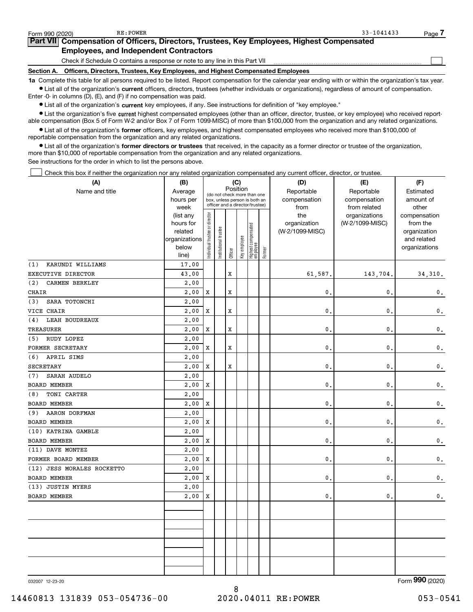Ist all of the organization's current officers, directors, trustees (whether individuals or organizations), regardless of amount of compensation. Enter -0- in columns (D), (E), and (F) if no compensation was paid.

 $\bullet$  List all of the organization's current key employees, if any. See instructions for definition of "key employee."

● List the organization's five current highest compensated employees (other than an officer, director, trustee, or key employee) who received reportable compensation (Box 5 of Form W-2 and/or Box 7 of Form 1099-MISC) of more than \$100,000 from the organization and any related organizations.

List all of the organization's former officers, key employees, and highest compensated employees who received more than \$100,000 of reportable compensation from the organization and any related organizations.

• List all of the organization's former directors or trustees that received, in the capacity as a former director or trustee of the organization, more than \$10,000 of reportable compensation from the organization and any related organizations.

See instructions for the order in which to list the persons above.

Check this box if neither the organization nor any related organization compensated any current officer, director, or trustee.  $\Box$ 

| (A)                          | (B)                  | (C)<br>Position                |                       |         |              |                                                                  |        | (D)                             | (E)             | (F)                         |
|------------------------------|----------------------|--------------------------------|-----------------------|---------|--------------|------------------------------------------------------------------|--------|---------------------------------|-----------------|-----------------------------|
| Name and title               | Average              |                                |                       |         |              | (do not check more than one                                      |        | Reportable                      | Reportable      | Estimated                   |
|                              | hours per            |                                |                       |         |              | box, unless person is both an<br>officer and a director/trustee) |        | compensation                    | compensation    | amount of                   |
|                              | week                 |                                |                       |         |              |                                                                  |        | from                            | from related    | other                       |
|                              | (list any            |                                |                       |         |              |                                                                  |        | the                             | organizations   | compensation                |
|                              | hours for<br>related |                                |                       |         |              |                                                                  |        | organization<br>(W-2/1099-MISC) | (W-2/1099-MISC) | from the                    |
|                              | organizations        |                                |                       |         |              |                                                                  |        |                                 |                 | organization<br>and related |
|                              | below                |                                |                       |         |              |                                                                  |        |                                 |                 | organizations               |
|                              | line)                | Individual trustee or director | Institutional trustee | Officer | Key employee | Highest compensated<br>employee                                  | Former |                                 |                 |                             |
| KARUNDI WILLIAMS<br>(1)      | 17.00                |                                |                       |         |              |                                                                  |        |                                 |                 |                             |
| EXECUTIVE DIRECTOR           | 43.00                |                                |                       | X       |              |                                                                  |        | 61,587.                         | 143,704.        | 34, 310.                    |
| (2)<br><b>CARMEN BERKLEY</b> | 2,00                 |                                |                       |         |              |                                                                  |        |                                 |                 |                             |
| CHAIR                        | 2,00                 | Х                              |                       | x       |              |                                                                  |        | 0                               | $\mathbf{0}$    | 0.                          |
| SARA TOTONCHI<br>(3)         | 2,00                 |                                |                       |         |              |                                                                  |        |                                 |                 |                             |
| VICE CHAIR                   | 2,00                 | X                              |                       | X       |              |                                                                  |        | 0                               | $\mathbf{0}$    | $\mathbf 0$ .               |
| <b>LEAH BOUDREAUX</b><br>(4) | 2.00                 |                                |                       |         |              |                                                                  |        |                                 |                 |                             |
| TREASURER                    | 2,00                 | X                              |                       | X       |              |                                                                  |        | 0                               | $\mathbf{0}$    | $\mathbf 0$ .               |
| RUDY LOPEZ<br>(5)            | 2.00                 |                                |                       |         |              |                                                                  |        |                                 |                 |                             |
| FORMER SECRETARY             | 2,00                 | X                              |                       | X       |              |                                                                  |        | 0                               | $\mathbf{0}$ .  | $\mathbf 0$ .               |
| (6)<br>APRIL SIMS            | 2,00                 |                                |                       |         |              |                                                                  |        |                                 |                 |                             |
| <b>SECRETARY</b>             | 2,00                 | X                              |                       | X       |              |                                                                  |        | 0                               | $\mathbf{0}$ .  | $\mathbf 0$ .               |
| SARAH AUDELO<br>(7)          | 2,00                 |                                |                       |         |              |                                                                  |        |                                 |                 |                             |
| <b>BOARD MEMBER</b>          | 2,00                 | X                              |                       |         |              |                                                                  |        | 0                               | $\mathbf{0}$    | $\mathbf 0$ .               |
| TONI CARTER<br>(8)           | 2,00                 |                                |                       |         |              |                                                                  |        |                                 |                 |                             |
| BOARD MEMBER                 | 2,00                 | X                              |                       |         |              |                                                                  |        | 0                               | $\mathbf{0}$    | $\mathbf 0$ .               |
| AARON DORFMAN<br>(9)         | 2,00                 |                                |                       |         |              |                                                                  |        |                                 |                 |                             |
| BOARD MEMBER                 | 2,00                 | X                              |                       |         |              |                                                                  |        | 0                               | $\mathbf{0}$ .  | $\mathbf 0$ .               |
| (10) KATRINA GAMBLE          | 2,00                 |                                |                       |         |              |                                                                  |        |                                 |                 |                             |
| BOARD MEMBER                 | 2,00                 | X                              |                       |         |              |                                                                  |        | 0                               | $\mathbf{0}$    | $\mathbf 0$ .               |
| (11) DAVE MONTEZ             | 2,00                 |                                |                       |         |              |                                                                  |        |                                 |                 |                             |
| FORMER BOARD MEMBER          | 2,00                 | X                              |                       |         |              |                                                                  |        | $\mathbf{0}$                    | $\mathbf{0}$    | $\mathbf 0$ .               |
| (12) JESS MORALES ROCKETTO   | 2,00                 |                                |                       |         |              |                                                                  |        |                                 |                 |                             |
| <b>BOARD MEMBER</b>          | 2,00                 | Х                              |                       |         |              |                                                                  |        | $\mathbf 0$                     | $\mathbf{0}$    | $\mathbf 0$ .               |
| (13) JUSTIN MYERS            | 2,00                 |                                |                       |         |              |                                                                  |        |                                 |                 |                             |
| BOARD MEMBER                 | 2,00                 | X                              |                       |         |              |                                                                  |        | $\mathbf{0}$ .                  | $\mathfrak o$ . | $\mathbf 0$ .               |
|                              |                      |                                |                       |         |              |                                                                  |        |                                 |                 |                             |
|                              |                      |                                |                       |         |              |                                                                  |        |                                 |                 |                             |
|                              |                      |                                |                       |         |              |                                                                  |        |                                 |                 |                             |
|                              |                      |                                |                       |         |              |                                                                  |        |                                 |                 |                             |
|                              |                      |                                |                       |         |              |                                                                  |        |                                 |                 |                             |
|                              |                      |                                |                       |         |              |                                                                  |        |                                 |                 |                             |
|                              |                      |                                |                       |         |              |                                                                  |        |                                 |                 |                             |
|                              |                      |                                |                       |         |              |                                                                  |        |                                 |                 |                             |

032007 12-23-20

Form 990 (2020)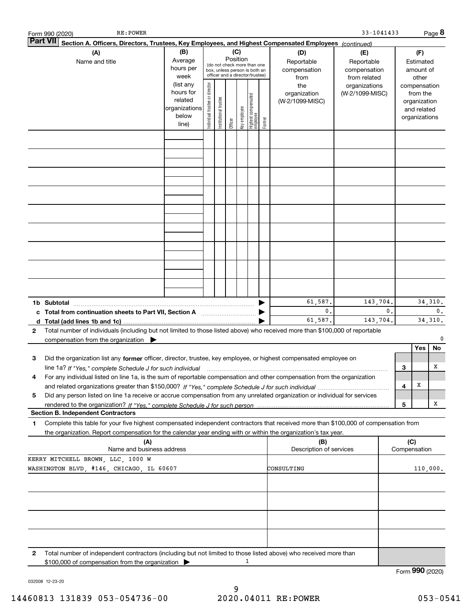|   | RE: POWER<br>Form 990 (2020)                                                                                                                                                                                                                           |                                                                      |                                |                        |                 |              |                                                                                                 |        |                                           | 33-1041433                                        |                |        |                                                                          | Page 8                     |
|---|--------------------------------------------------------------------------------------------------------------------------------------------------------------------------------------------------------------------------------------------------------|----------------------------------------------------------------------|--------------------------------|------------------------|-----------------|--------------|-------------------------------------------------------------------------------------------------|--------|-------------------------------------------|---------------------------------------------------|----------------|--------|--------------------------------------------------------------------------|----------------------------|
|   | <b>Part VII</b><br>Section A. Officers, Directors, Trustees, Key Employees, and Highest Compensated Employees (continued)                                                                                                                              |                                                                      |                                |                        |                 |              |                                                                                                 |        |                                           |                                                   |                |        |                                                                          |                            |
|   | (A)<br>Name and title                                                                                                                                                                                                                                  | (B)<br>Average<br>hours per<br>week                                  |                                |                        | (C)<br>Position |              | (do not check more than one<br>box, unless person is both an<br>officer and a director/trustee) |        | (D)<br>Reportable<br>compensation<br>from | (E)<br>Reportable<br>compensation<br>from related |                |        | (F)<br>Estimated<br>amount of<br>other                                   |                            |
|   |                                                                                                                                                                                                                                                        | (list any<br>hours for<br>related<br>organizations<br>below<br>line) | Individual trustee or director | In stitutional trustee | Officer         | Key employee | Highest compensated<br>  employee                                                               | Former | the<br>organization<br>(W-2/1099-MISC)    | organizations<br>(W-2/1099-MISC)                  |                |        | compensation<br>from the<br>organization<br>and related<br>organizations |                            |
|   |                                                                                                                                                                                                                                                        |                                                                      |                                |                        |                 |              |                                                                                                 |        |                                           |                                                   |                |        |                                                                          |                            |
|   |                                                                                                                                                                                                                                                        |                                                                      |                                |                        |                 |              |                                                                                                 |        |                                           |                                                   |                |        |                                                                          |                            |
|   |                                                                                                                                                                                                                                                        |                                                                      |                                |                        |                 |              |                                                                                                 |        |                                           |                                                   |                |        |                                                                          |                            |
|   |                                                                                                                                                                                                                                                        |                                                                      |                                |                        |                 |              |                                                                                                 |        |                                           |                                                   |                |        |                                                                          |                            |
|   |                                                                                                                                                                                                                                                        |                                                                      |                                |                        |                 |              |                                                                                                 |        |                                           |                                                   |                |        |                                                                          |                            |
|   |                                                                                                                                                                                                                                                        |                                                                      |                                |                        |                 |              |                                                                                                 |        |                                           |                                                   |                |        |                                                                          |                            |
|   |                                                                                                                                                                                                                                                        |                                                                      |                                |                        |                 |              |                                                                                                 |        |                                           |                                                   |                |        |                                                                          |                            |
|   | 1b Subtotal                                                                                                                                                                                                                                            |                                                                      |                                |                        |                 |              |                                                                                                 |        | 61,587.<br>0.                             | 143,704.                                          | $\mathbf{0}$ . |        |                                                                          | 34, 310.<br>$\mathbf{0}$ . |
|   | c Total from continuation sheets to Part VII, Section A [11, 11] [11] Total from continuation sheets to Part VII, Section A                                                                                                                            |                                                                      |                                |                        |                 |              |                                                                                                 |        | 61,587.                                   | 143,704.                                          |                |        |                                                                          | 34, 310.                   |
| 2 | Total number of individuals (including but not limited to those listed above) who received more than \$100,000 of reportable<br>compensation from the organization                                                                                     |                                                                      |                                |                        |                 |              |                                                                                                 |        |                                           |                                                   |                |        |                                                                          | 0                          |
| 3 | Did the organization list any former officer, director, trustee, key employee, or highest compensated employee on                                                                                                                                      |                                                                      |                                |                        |                 |              |                                                                                                 |        |                                           |                                                   |                |        | Yes                                                                      | No                         |
|   | For any individual listed on line 1a, is the sum of reportable compensation and other compensation from the organization                                                                                                                               |                                                                      |                                |                        |                 |              |                                                                                                 |        |                                           |                                                   |                | 3<br>4 | х                                                                        | х                          |
| 5 | Did any person listed on line 1a receive or accrue compensation from any unrelated organization or individual for services                                                                                                                             |                                                                      |                                |                        |                 |              |                                                                                                 |        |                                           |                                                   |                | 5      |                                                                          | x                          |
|   | <b>Section B. Independent Contractors</b>                                                                                                                                                                                                              |                                                                      |                                |                        |                 |              |                                                                                                 |        |                                           |                                                   |                |        |                                                                          |                            |
| 1 | Complete this table for your five highest compensated independent contractors that received more than \$100,000 of compensation from<br>the organization. Report compensation for the calendar year ending with or within the organization's tax year. |                                                                      |                                |                        |                 |              |                                                                                                 |        |                                           |                                                   |                |        |                                                                          |                            |
|   | (A)<br>Name and business address                                                                                                                                                                                                                       |                                                                      |                                |                        |                 |              |                                                                                                 |        | (B)<br>Description of services            |                                                   |                | (C)    | Compensation                                                             |                            |
|   | KERRY MITCHELL BROWN, LLC, 1000 W<br>WASHINGTON BLVD, #146, CHICAGO, IL 60607                                                                                                                                                                          |                                                                      |                                |                        |                 |              |                                                                                                 |        | CONSULTING                                |                                                   |                |        |                                                                          | 110,000.                   |
|   |                                                                                                                                                                                                                                                        |                                                                      |                                |                        |                 |              |                                                                                                 |        |                                           |                                                   |                |        |                                                                          |                            |
|   |                                                                                                                                                                                                                                                        |                                                                      |                                |                        |                 |              |                                                                                                 |        |                                           |                                                   |                |        |                                                                          |                            |
|   |                                                                                                                                                                                                                                                        |                                                                      |                                |                        |                 |              |                                                                                                 |        |                                           |                                                   |                |        |                                                                          |                            |
| 2 | Total number of independent contractors (including but not limited to those listed above) who received more than                                                                                                                                       |                                                                      |                                |                        |                 |              |                                                                                                 |        |                                           |                                                   |                |        |                                                                          |                            |
|   | \$100,000 of compensation from the organization                                                                                                                                                                                                        |                                                                      |                                |                        |                 |              | 1                                                                                               |        |                                           |                                                   |                |        |                                                                          |                            |

032008 12-23-20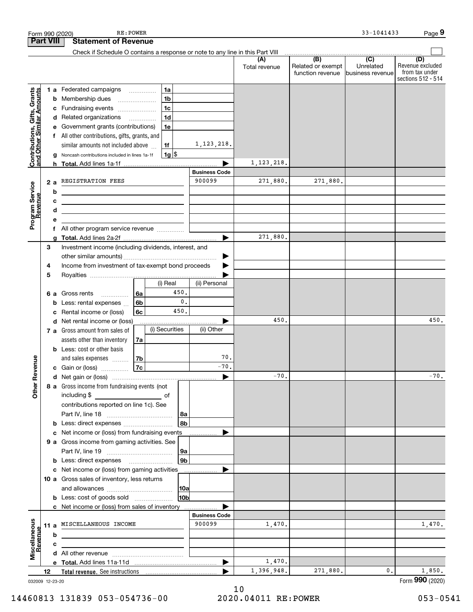|                                                           |    |    | RE: POWER<br>Form 990 (2020)                                                                                           |                 |                       |               |                                       | 33-1041433                    | Page 9                                                   |
|-----------------------------------------------------------|----|----|------------------------------------------------------------------------------------------------------------------------|-----------------|-----------------------|---------------|---------------------------------------|-------------------------------|----------------------------------------------------------|
| <b>Part VIII</b>                                          |    |    | <b>Statement of Revenue</b>                                                                                            |                 |                       |               |                                       |                               |                                                          |
|                                                           |    |    | Check if Schedule O contains a response or note to any line in this Part VIII                                          |                 |                       | (A)           | $\overline{(B)}$                      | $\overline{C}$                | (D)                                                      |
|                                                           |    |    |                                                                                                                        |                 |                       | Total revenue | Related or exempt<br>function revenue | Unrelated<br>business revenue | Revenue excluded<br>from tax under<br>sections 512 - 514 |
|                                                           |    |    | 1 a Federated campaigns                                                                                                | 1a              |                       |               |                                       |                               |                                                          |
| Contributions, Gifts, Grants<br>and Other Similar Amounts |    | b  | Membership dues<br>$\ldots \ldots \ldots \ldots \ldots$                                                                | 1 <sub>b</sub>  |                       |               |                                       |                               |                                                          |
|                                                           |    |    | c Fundraising events <i></i>                                                                                           | 1 <sub>c</sub>  |                       |               |                                       |                               |                                                          |
|                                                           |    |    | d Related organizations                                                                                                | 1 <sub>d</sub>  |                       |               |                                       |                               |                                                          |
|                                                           |    |    | Government grants (contributions)                                                                                      | 1e              |                       |               |                                       |                               |                                                          |
|                                                           |    |    | f All other contributions, gifts, grants, and                                                                          |                 | 1, 123, 218.          |               |                                       |                               |                                                          |
|                                                           |    | a  | similar amounts not included above<br>Noncash contributions included in lines 1a-1f                                    | 1f<br>$1g$ \$   |                       |               |                                       |                               |                                                          |
|                                                           |    |    |                                                                                                                        |                 |                       | 1, 123, 218.  |                                       |                               |                                                          |
|                                                           |    |    |                                                                                                                        |                 | <b>Business Code</b>  |               |                                       |                               |                                                          |
|                                                           |    | 2a | REGISTRATION FEES                                                                                                      |                 | 900099                | 271,880.      | 271,880.                              |                               |                                                          |
| Program Service                                           |    | b  | <u> 1989 - Johann Barbara, martin amerikan basar dan basar dan basar dalam basar dalam basar dalam basar dalam ba</u>  |                 |                       |               |                                       |                               |                                                          |
| Revenue                                                   |    | с  | <u> 1989 - Johann Barn, mars ann an t-Amhain ann an t-Amhain an t-Amhain an t-Amhain an t-Amhain an t-Amhain an t-</u> |                 |                       |               |                                       |                               |                                                          |
|                                                           |    | d  | <u> 1980 - Johann Barn, mars ann an t-Amhain ann an t-Amhain an t-Amhain an t-Amhain an t-Amhain an t-Amhain an t-</u> |                 |                       |               |                                       |                               |                                                          |
|                                                           |    | е  |                                                                                                                        |                 |                       |               |                                       |                               |                                                          |
|                                                           |    | f  |                                                                                                                        |                 | $\blacktriangleright$ | 271,880.      |                                       |                               |                                                          |
|                                                           | 3  |    | Investment income (including dividends, interest, and                                                                  |                 |                       |               |                                       |                               |                                                          |
|                                                           |    |    |                                                                                                                        |                 | ▶                     |               |                                       |                               |                                                          |
|                                                           | 4  |    | Income from investment of tax-exempt bond proceeds                                                                     |                 |                       |               |                                       |                               |                                                          |
|                                                           | 5  |    |                                                                                                                        |                 |                       |               |                                       |                               |                                                          |
|                                                           |    |    |                                                                                                                        | (i) Real        | (ii) Personal         |               |                                       |                               |                                                          |
|                                                           |    | 6а | Gross rents<br>6a                                                                                                      | 450.            |                       |               |                                       |                               |                                                          |
|                                                           |    | b  | 6b<br>Less: rental expenses                                                                                            | $\mathsf{0}$ .  |                       |               |                                       |                               |                                                          |
|                                                           |    | с  | Rental income or (loss)<br>6с                                                                                          | 450.            |                       |               |                                       |                               |                                                          |
|                                                           |    |    | d Net rental income or (loss)                                                                                          |                 |                       | 450.          |                                       |                               | 450.                                                     |
|                                                           |    |    | 7 a Gross amount from sales of                                                                                         | (i) Securities  | (ii) Other            |               |                                       |                               |                                                          |
|                                                           |    |    | assets other than inventory<br>7a<br><b>b</b> Less: cost or other basis                                                |                 |                       |               |                                       |                               |                                                          |
|                                                           |    |    | and sales expenses<br>7b                                                                                               |                 | 70.                   |               |                                       |                               |                                                          |
| evenue                                                    |    |    | 7c<br>c Gain or (loss)                                                                                                 |                 | $-70.$                |               |                                       |                               |                                                          |
|                                                           |    |    |                                                                                                                        |                 |                       | $-70.$        |                                       |                               | $-70.$                                                   |
| Other R                                                   |    |    | 8 a Gross income from fundraising events (not                                                                          |                 |                       |               |                                       |                               |                                                          |
|                                                           |    |    | including \$                                                                                                           | of              |                       |               |                                       |                               |                                                          |
|                                                           |    |    | contributions reported on line 1c). See                                                                                |                 |                       |               |                                       |                               |                                                          |
|                                                           |    |    |                                                                                                                        | 8a              |                       |               |                                       |                               |                                                          |
|                                                           |    |    | <b>b</b> Less: direct expenses <b>constants b</b>                                                                      | 8b              |                       |               |                                       |                               |                                                          |
|                                                           |    | c  | Net income or (loss) from fundraising events                                                                           |                 |                       |               |                                       |                               |                                                          |
|                                                           |    |    | 9 a Gross income from gaming activities. See                                                                           |                 |                       |               |                                       |                               |                                                          |
|                                                           |    |    | <b>b</b> Less: direct expenses <b>manually</b>                                                                         | 9a<br>l 9b      |                       |               |                                       |                               |                                                          |
|                                                           |    |    | c Net income or (loss) from gaming activities                                                                          |                 |                       |               |                                       |                               |                                                          |
|                                                           |    |    | 10 a Gross sales of inventory, less returns                                                                            |                 |                       |               |                                       |                               |                                                          |
|                                                           |    |    |                                                                                                                        | 10a             |                       |               |                                       |                               |                                                          |
|                                                           |    |    | <b>b</b> Less: cost of goods sold                                                                                      | 10 <sub>b</sub> |                       |               |                                       |                               |                                                          |
|                                                           |    |    | c Net income or (loss) from sales of inventory                                                                         |                 |                       |               |                                       |                               |                                                          |
|                                                           |    |    |                                                                                                                        |                 | <b>Business Code</b>  |               |                                       |                               |                                                          |
|                                                           |    |    | 11 a MISCELLANEOUS INCOME                                                                                              |                 | 900099                | 1,470.        |                                       |                               | 1,470.                                                   |
| Miscellaneous<br>Revenue                                  |    | b  |                                                                                                                        |                 |                       |               |                                       |                               |                                                          |
|                                                           |    | c  |                                                                                                                        |                 |                       |               |                                       |                               |                                                          |
|                                                           |    |    |                                                                                                                        |                 | ▶                     | 1,470.        |                                       |                               |                                                          |
|                                                           | 12 |    |                                                                                                                        |                 |                       | 1,396,948.    | 271,880.                              | 0.                            | 1,850.                                                   |
| 032009 12-23-20                                           |    |    |                                                                                                                        |                 |                       |               |                                       |                               | Form 990 (2020)                                          |

032009 12-23-20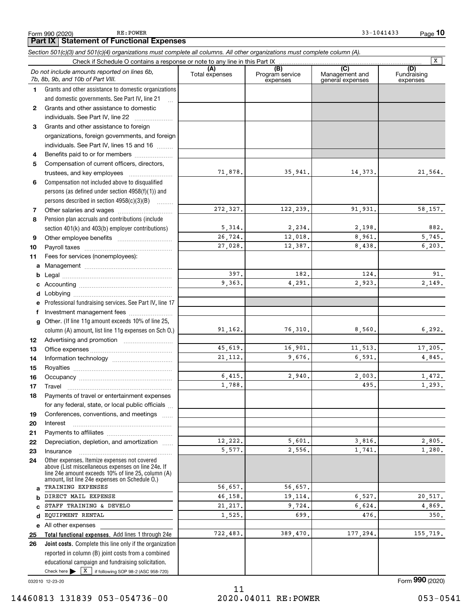|              |                                                                                                                                                                                                            |                |                                    |                                                      | $\overline{\mathbf{x}}$        |
|--------------|------------------------------------------------------------------------------------------------------------------------------------------------------------------------------------------------------------|----------------|------------------------------------|------------------------------------------------------|--------------------------------|
|              | Do not include amounts reported on lines 6b,<br>7b, 8b, 9b, and 10b of Part VIII.                                                                                                                          | Total expenses | (B)<br>Program service<br>expenses | $\overline{C}$<br>Management and<br>general expenses | (D)<br>Fundraising<br>expenses |
| 1.           | Grants and other assistance to domestic organizations                                                                                                                                                      |                |                                    |                                                      |                                |
|              | and domestic governments. See Part IV, line 21                                                                                                                                                             |                |                                    |                                                      |                                |
| $\mathbf{2}$ | Grants and other assistance to domestic                                                                                                                                                                    |                |                                    |                                                      |                                |
|              | individuals. See Part IV, line 22                                                                                                                                                                          |                |                                    |                                                      |                                |
| 3            | Grants and other assistance to foreign                                                                                                                                                                     |                |                                    |                                                      |                                |
|              | organizations, foreign governments, and foreign                                                                                                                                                            |                |                                    |                                                      |                                |
|              | individuals. See Part IV, lines 15 and 16                                                                                                                                                                  |                |                                    |                                                      |                                |
| 4            | Benefits paid to or for members                                                                                                                                                                            |                |                                    |                                                      |                                |
| 5            | Compensation of current officers, directors,                                                                                                                                                               |                |                                    |                                                      |                                |
|              | trustees, and key employees                                                                                                                                                                                | 71,878.        | 35,941.                            | 14,373.                                              | 21,564.                        |
| 6            | Compensation not included above to disqualified                                                                                                                                                            |                |                                    |                                                      |                                |
|              | persons (as defined under section $4958(f)(1)$ ) and                                                                                                                                                       |                |                                    |                                                      |                                |
|              | persons described in section 4958(c)(3)(B)                                                                                                                                                                 |                |                                    |                                                      |                                |
| 7            |                                                                                                                                                                                                            | 272,327.       | 122,239.                           | 91,931.                                              | 58,157.                        |
| 8            | Pension plan accruals and contributions (include                                                                                                                                                           |                |                                    |                                                      |                                |
|              | section 401(k) and 403(b) employer contributions)                                                                                                                                                          | 5,314.         | 2,234.                             | 2,198.                                               | 882.                           |
| 9            |                                                                                                                                                                                                            | 26,724.        | 12,018.                            | 8,961.                                               | 5,745.                         |
| 10           |                                                                                                                                                                                                            | 27,028.        | 12,387.                            | 8,438.                                               | 6,203.                         |
| 11           | Fees for services (nonemployees):                                                                                                                                                                          |                |                                    |                                                      |                                |
| a            |                                                                                                                                                                                                            |                |                                    |                                                      |                                |
| b            |                                                                                                                                                                                                            | 397.           | 182.                               | 124.                                                 | 91.                            |
| с            |                                                                                                                                                                                                            | 9,363.         | 4,291.                             | 2,923.                                               | 2,149.                         |
| d            |                                                                                                                                                                                                            |                |                                    |                                                      |                                |
| е            | Professional fundraising services. See Part IV, line 17                                                                                                                                                    |                |                                    |                                                      |                                |
| f            | Investment management fees                                                                                                                                                                                 |                |                                    |                                                      |                                |
| a            | Other. (If line 11g amount exceeds 10% of line 25,                                                                                                                                                         | 91,162.        | 76,310.                            | 8,560.                                               | 6,292.                         |
|              | column (A) amount, list line 11g expenses on Sch O.)                                                                                                                                                       |                |                                    |                                                      |                                |
| 12           |                                                                                                                                                                                                            | 45,619.        | 16,901.                            | 11,513.                                              | 17,205.                        |
| 13           |                                                                                                                                                                                                            | 21, 112.       | 9,676.                             | 6,591.                                               | 4,845.                         |
| 14<br>15     |                                                                                                                                                                                                            |                |                                    |                                                      |                                |
| 16           |                                                                                                                                                                                                            | 6,415,         | 2,940.                             | 2,003.                                               | 1,472.                         |
| 17           | Travel                                                                                                                                                                                                     | 1,788.         |                                    | 495.                                                 | 1,293.                         |
| 18           | Payments of travel or entertainment expenses                                                                                                                                                               |                |                                    |                                                      |                                |
|              | for any federal, state, or local public officials                                                                                                                                                          |                |                                    |                                                      |                                |
| 19           | Conferences, conventions, and meetings                                                                                                                                                                     |                |                                    |                                                      |                                |
| 20           | Interest                                                                                                                                                                                                   |                |                                    |                                                      |                                |
| 21           |                                                                                                                                                                                                            |                |                                    |                                                      |                                |
| 22           | Depreciation, depletion, and amortization                                                                                                                                                                  | 12,222.        | 5,601.                             | 3,816.                                               | 2,805.                         |
| 23           | Insurance                                                                                                                                                                                                  | 5,577.         | 2,556.                             | 1,741.                                               | 1,280.                         |
| 24           | Other expenses. Itemize expenses not covered<br>above (List miscellaneous expenses on line 24e. If<br>line 24e amount exceeds 10% of line 25, column (A)<br>amount, list line 24e expenses on Schedule O.) |                |                                    |                                                      |                                |
| a            | TRAINING EXPENSES                                                                                                                                                                                          | 56,657.        | 56,657.                            |                                                      |                                |
| b            | DIRECT MAIL EXPENSE                                                                                                                                                                                        | 46.158.        | 19,114.                            | 6,527.                                               | 20,517.                        |
| C            | STAFF TRAINING & DEVELO                                                                                                                                                                                    | 21, 217.       | 9,724.                             | 6,624.                                               | 4,869.                         |
| d            | EQUIPMENT RENTAL                                                                                                                                                                                           | 1,525.         | 699.                               | 476.                                                 | 350.                           |
|              | e All other expenses                                                                                                                                                                                       |                |                                    |                                                      |                                |
| 25           | Total functional expenses. Add lines 1 through 24e                                                                                                                                                         | 722,483.       | 389,470.                           | 177,294.                                             | 155,719.                       |
| 26           | Joint costs. Complete this line only if the organization                                                                                                                                                   |                |                                    |                                                      |                                |
|              | reported in column (B) joint costs from a combined<br>educational campaign and fundraising solicitation.                                                                                                   |                |                                    |                                                      |                                |

Section 501(c)(3) and 501(c)(4) organizations must complete all columns. All other organizations must complete column (A).

## Check here  $\blacktriangleright$   $\boxed{X}$  if following SOP 98-2 (ASC 958-720)

032010 12-23-20

#### 14460813 131839 053-054736-00 2020.04011 RE:POWER 053-0541

Form 990 (2020)

Form 990 (2020) RE: POWER

**Part IX Statement of Functional Expenses**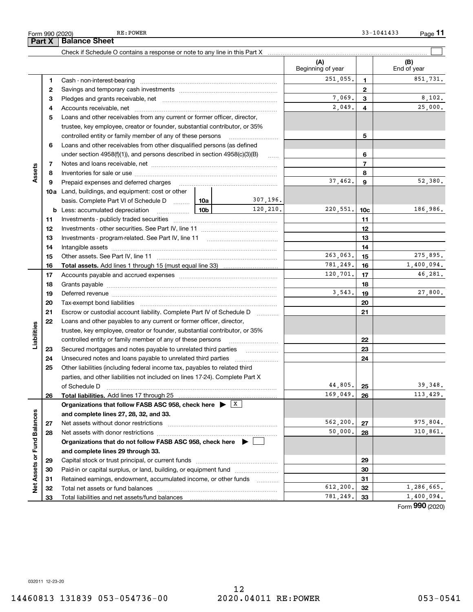~~~~

|                 | 4  |                                                                                                                                                                                                                                |     |                   | 2,049.               | 4              | 25,000.                  |
|-----------------|----|--------------------------------------------------------------------------------------------------------------------------------------------------------------------------------------------------------------------------------|-----|-------------------|----------------------|----------------|--------------------------|
|                 | 5  | Loans and other receivables from any current or former officer, director,                                                                                                                                                      |     |                   |                      |                |                          |
|                 |    | trustee, key employee, creator or founder, substantial contributor, or 35%                                                                                                                                                     |     |                   |                      |                |                          |
|                 |    | controlled entity or family member of any of these persons                                                                                                                                                                     |     |                   |                      | 5              |                          |
|                 | 6  | Loans and other receivables from other disqualified persons (as defined                                                                                                                                                        |     |                   |                      |                |                          |
|                 |    | under section $4958(f)(1)$ , and persons described in section $4958(c)(3)(B)$                                                                                                                                                  |     | 1.1.1.1           |                      | 6              |                          |
|                 | 7  |                                                                                                                                                                                                                                |     |                   |                      | $\overline{7}$ |                          |
| Assets          | 8  |                                                                                                                                                                                                                                |     |                   |                      | 8              |                          |
|                 | 9  | Prepaid expenses and deferred charges                                                                                                                                                                                          |     |                   | 37,462.              | 9              | 52,380.                  |
|                 |    | <b>10a</b> Land, buildings, and equipment: cost or other                                                                                                                                                                       |     |                   |                      |                |                          |
|                 |    | basis. Complete Part VI of Schedule D                                                                                                                                                                                          | 10a | 307,196.          |                      |                |                          |
|                 | b  | Less: accumulated depreciation<br>.                                                                                                                                                                                            | 10b | 120,210.          | 220,551.             | 10c            | 186,986.                 |
|                 | 11 |                                                                                                                                                                                                                                |     |                   |                      | 11             |                          |
|                 | 12 |                                                                                                                                                                                                                                |     |                   |                      | 12             |                          |
|                 | 13 |                                                                                                                                                                                                                                |     |                   |                      | 13             |                          |
|                 | 14 |                                                                                                                                                                                                                                |     |                   |                      | 14             |                          |
|                 | 15 |                                                                                                                                                                                                                                |     |                   | 263,063.             | 15             | 275,895.                 |
|                 | 16 |                                                                                                                                                                                                                                |     |                   | 781,249.             | 16             | 1,400,094.               |
|                 | 17 |                                                                                                                                                                                                                                |     |                   | 120,701.             | 17             | 46,281.                  |
|                 | 18 |                                                                                                                                                                                                                                |     |                   |                      | 18             |                          |
|                 | 19 | Deferred revenue manual contracts and contracts are all the contracts and contracts are contracted and contracts are contracted and contract are contracted and contract are contracted and contract are contracted and contra |     |                   | 3,543.               | 19             | 27,800.                  |
|                 | 20 |                                                                                                                                                                                                                                |     |                   |                      | 20             |                          |
|                 | 21 | Escrow or custodial account liability. Complete Part IV of Schedule D                                                                                                                                                          |     | 1.1.1.1.1.1.1.1.1 |                      | 21             |                          |
|                 | 22 | Loans and other payables to any current or former officer, director,                                                                                                                                                           |     |                   |                      |                |                          |
| abilities       |    | trustee, key employee, creator or founder, substantial contributor, or 35%                                                                                                                                                     |     |                   |                      |                |                          |
|                 |    | controlled entity or family member of any of these persons                                                                                                                                                                     |     |                   | 22                   |                |                          |
| ⊐               | 23 | Secured mortgages and notes payable to unrelated third parties                                                                                                                                                                 |     | .                 |                      | 23             |                          |
|                 | 24 | Unsecured notes and loans payable to unrelated third parties                                                                                                                                                                   |     |                   |                      | 24             |                          |
|                 | 25 | Other liabilities (including federal income tax, payables to related third                                                                                                                                                     |     |                   |                      |                |                          |
|                 |    | parties, and other liabilities not included on lines 17-24). Complete Part X                                                                                                                                                   |     |                   |                      |                |                          |
|                 |    | of Schedule D                                                                                                                                                                                                                  |     |                   | 44,805.              | 25             | 39,348.                  |
|                 | 26 | <b>Total liabilities.</b> Add lines 17 through 25                                                                                                                                                                              |     |                   | 169,049.             | 26             | 113,429.                 |
|                 |    | Organizations that follow FASB ASC 958, check here $\blacktriangleright \;$ $\lfloor x \rfloor$                                                                                                                                |     |                   |                      |                |                          |
|                 |    | and complete lines 27, 28, 32, and 33.                                                                                                                                                                                         |     |                   |                      |                |                          |
| Balances        | 27 |                                                                                                                                                                                                                                |     |                   | 562,200.             | 27             | 975,804.                 |
|                 | 28 |                                                                                                                                                                                                                                |     |                   | 50,000.              | 28             | 310,861.                 |
| i<br>S          |    | Organizations that do not follow FASB ASC 958, check here ▶ U                                                                                                                                                                  |     |                   |                      |                |                          |
|                 |    | and complete lines 29 through 33.                                                                                                                                                                                              |     |                   |                      |                |                          |
|                 | 29 |                                                                                                                                                                                                                                |     |                   | 29                   |                |                          |
| Net Assets or F | 30 | Paid-in or capital surplus, or land, building, or equipment fund                                                                                                                                                               |     |                   | 30                   |                |                          |
|                 | 31 | Retained earnings, endowment, accumulated income, or other funds                                                                                                                                                               |     | .                 |                      | 31             |                          |
|                 | 32 | Total net assets or fund balances                                                                                                                                                                                              |     |                   | 612,200.<br>781,249. | 32             | 1,286,665.<br>1,400,094. |
|                 | 33 | Total liabilities and net assets/fund balances                                                                                                                                                                                 |     |                   |                      | 33             |                          |

 $\boxed{\phantom{1}}$ 

(A) (B)

Beginning of year  $\vert$  | End of year

1 2 3

251,055. 1 851,731.

7,069. 8,102.

1 2 3

Check if Schedule O contains a response or note to any line in this Part X

Cash - non-interest-bearing ~~~~~~~~~~~~~~~~~~~~~~~~~ Savings and temporary cash investments ~~~~~~~~~~~~~~~~~~ Pledges and grants receivable, net ~~~~~~~~~~~~~~~~~~~~~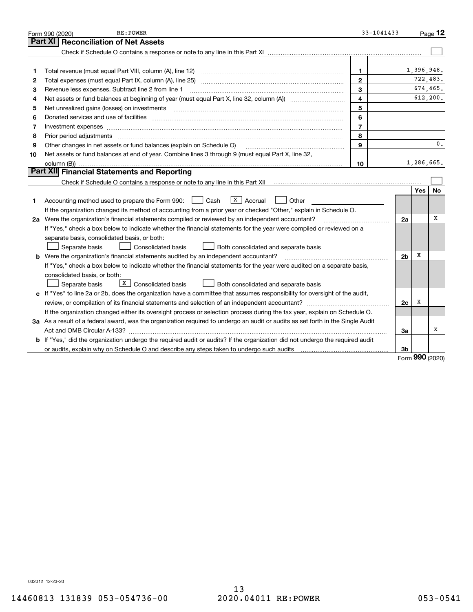|    | RE: POWER<br>Form 990 (2020)                                                                                                         | $33 - 1041433$ |                |            | Page $12$  |
|----|--------------------------------------------------------------------------------------------------------------------------------------|----------------|----------------|------------|------------|
|    | <b>Reconciliation of Net Assets</b><br>Part XI                                                                                       |                |                |            |            |
|    |                                                                                                                                      |                |                |            |            |
|    |                                                                                                                                      |                |                |            |            |
| 1  | Total revenue (must equal Part VIII, column (A), line 12)                                                                            | $\mathbf{1}$   |                | 1,396,948. |            |
| 2  |                                                                                                                                      | $\mathbf{2}$   |                |            | 722,483.   |
| 3  | Revenue less expenses. Subtract line 2 from line 1                                                                                   | 3              |                |            | 674,465.   |
| 4  |                                                                                                                                      | 4              |                |            | 612, 200.  |
| 5  |                                                                                                                                      | 5              |                |            |            |
| 6  |                                                                                                                                      | 6              |                |            |            |
| 7  | Investment expenses www.communication.communication.com/www.communication.com/www.communication.com                                  | $\overline{7}$ |                |            |            |
| 8  | Prior period adjustments                                                                                                             | 8              |                |            |            |
| 9  | Other changes in net assets or fund balances (explain on Schedule O)                                                                 | $\mathbf{q}$   |                |            | 0.         |
| 10 | Net assets or fund balances at end of year. Combine lines 3 through 9 (must equal Part X, line 32,                                   |                |                |            |            |
|    | column (B))                                                                                                                          | 10             |                |            | 1,286,665. |
|    | Part XII Financial Statements and Reporting                                                                                          |                |                |            |            |
|    |                                                                                                                                      |                |                |            |            |
|    |                                                                                                                                      |                |                | <b>Yes</b> | <b>No</b>  |
| 1  | $\sqrt{x}$   Accrual<br>Accounting method used to prepare the Form 990: <u>I</u> Cash<br>Other                                       |                |                |            |            |
|    | If the organization changed its method of accounting from a prior year or checked "Other," explain in Schedule O.                    |                |                |            |            |
|    | 2a Were the organization's financial statements compiled or reviewed by an independent accountant?                                   |                | 2a             |            | X          |
|    | If "Yes," check a box below to indicate whether the financial statements for the year were compiled or reviewed on a                 |                |                |            |            |
|    | separate basis, consolidated basis, or both:                                                                                         |                |                |            |            |
|    | Separate basis<br><b>Consolidated basis</b><br>Both consolidated and separate basis                                                  |                |                |            |            |
|    | <b>b</b> Were the organization's financial statements audited by an independent accountant?                                          |                | 2 <sub>b</sub> | х          |            |
|    | If "Yes," check a box below to indicate whether the financial statements for the year were audited on a separate basis,              |                |                |            |            |
|    | consolidated basis, or both:                                                                                                         |                |                |            |            |
|    | X  <br>Consolidated basis<br>Separate basis<br>Both consolidated and separate basis                                                  |                |                |            |            |
|    | c If "Yes" to line 2a or 2b, does the organization have a committee that assumes responsibility for oversight of the audit,          |                |                |            |            |
|    | review, or compilation of its financial statements and selection of an independent accountant?                                       |                | 2c             | х          |            |
|    | If the organization changed either its oversight process or selection process during the tax year, explain on Schedule O.            |                |                |            |            |
|    | 3a As a result of a federal award, was the organization required to undergo an audit or audits as set forth in the Single Audit      |                |                |            |            |
|    |                                                                                                                                      |                | 3a             |            | х          |
|    | <b>b</b> If "Yes," did the organization undergo the required audit or audits? If the organization did not undergo the required audit |                |                |            |            |
|    |                                                                                                                                      |                | 3b             | $\Omega$   |            |

Form 990 (2020)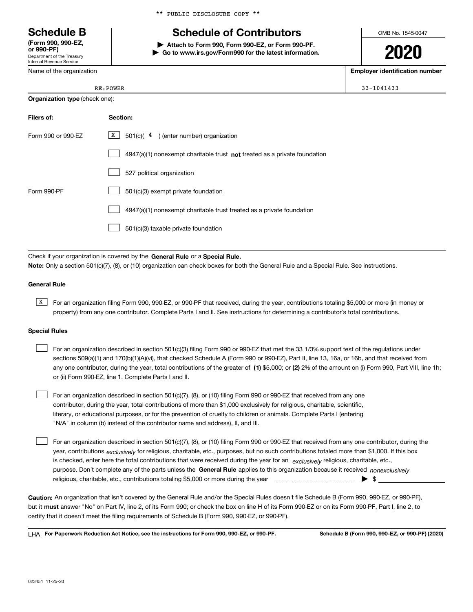Department of the Treasury Internal Revenue Service (Form 990, 990-EZ,

Name of the organization

|  |  | ** PUBLIC DISCLOSURE COPY ** |  |  |
|--|--|------------------------------|--|--|
|--|--|------------------------------|--|--|

## Schedule B The Schedule of Contributors

Attach to Form 990, Form 990-EZ, or Form 990-PF. | Go to www.irs.gov/Form990 for the latest information. OMB No. 1545-0047

Employer identification number

| <b>RE:POWER</b> | $33 - 1041433$ |
|-----------------|----------------|
|                 |                |

Organization type (check one):

| Filers of:         | Section:                                                                    |
|--------------------|-----------------------------------------------------------------------------|
| Form 990 or 990-EZ | $X$ 501(c)(4) (enter number) organization                                   |
|                    | $4947(a)(1)$ nonexempt charitable trust not treated as a private foundation |
|                    | 527 political organization                                                  |
| Form 990-PF        | 501(c)(3) exempt private foundation                                         |
|                    | 4947(a)(1) nonexempt charitable trust treated as a private foundation       |
|                    | 501(c)(3) taxable private foundation                                        |

Check if your organization is covered by the General Rule or a Special Rule. Note: Only a section 501(c)(7), (8), or (10) organization can check boxes for both the General Rule and a Special Rule. See instructions.

#### General Rule

**K** For an organization filing Form 990, 990-EZ, or 990-PF that received, during the year, contributions totaling \$5,000 or more (in money or property) from any one contributor. Complete Parts I and II. See instructions for determining a contributor's total contributions.

#### Special Rules

| For an organization described in section 501(c)(3) filing Form 990 or 990-EZ that met the 33 1/3% support test of the regulations under               |
|-------------------------------------------------------------------------------------------------------------------------------------------------------|
| sections 509(a)(1) and 170(b)(1)(A)(vi), that checked Schedule A (Form 990 or 990-EZ), Part II, line 13, 16a, or 16b, and that received from          |
| any one contributor, during the year, total contributions of the greater of (1) \$5,000; or (2) 2% of the amount on (i) Form 990, Part VIII, line 1h; |
| or (ii) Form 990-EZ, line 1. Complete Parts I and II.                                                                                                 |

For an organization described in section 501(c)(7), (8), or (10) filing Form 990 or 990-EZ that received from any one contributor, during the year, total contributions of more than \$1,000 exclusively for religious, charitable, scientific, literary, or educational purposes, or for the prevention of cruelty to children or animals. Complete Parts I (entering "N/A" in column (b) instead of the contributor name and address), II, and III.  $\begin{array}{c} \hline \end{array}$ 

purpose. Don't complete any of the parts unless the General Rule applies to this organization because it received nonexclusively year, contributions <sub>exclusively</sub> for religious, charitable, etc., purposes, but no such contributions totaled more than \$1,000. If this box is checked, enter here the total contributions that were received during the year for an exclusively religious, charitable, etc., For an organization described in section 501(c)(7), (8), or (10) filing Form 990 or 990-EZ that received from any one contributor, during the religious, charitable, etc., contributions totaling \$5,000 or more during the year  $\Box$ — $\Box$   $\Box$  $\begin{array}{c} \hline \end{array}$ 

Caution: An organization that isn't covered by the General Rule and/or the Special Rules doesn't file Schedule B (Form 990, 990-EZ, or 990-PF), but it **must** answer "No" on Part IV, line 2, of its Form 990; or check the box on line H of its Form 990-EZ or on its Form 990-PF, Part I, line 2, to certify that it doesn't meet the filing requirements of Schedule B (Form 990, 990-EZ, or 990-PF).

LHA For Paperwork Reduction Act Notice, see the instructions for Form 990, 990-EZ, or 990-PF. Schedule B (Form 990, 990-EZ, or 990-PF) (2020)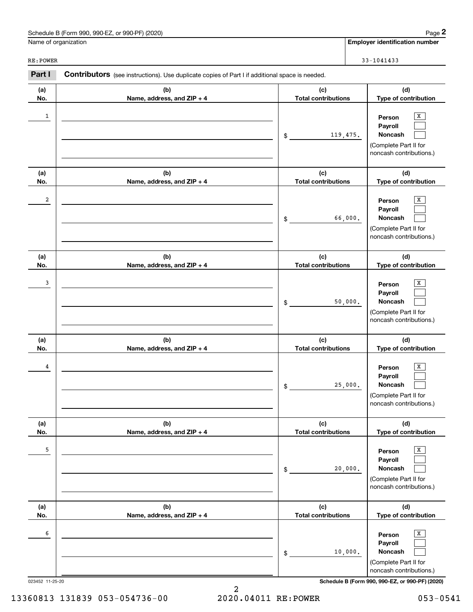| Schedule B (Form 990, 990-EZ, or 990-PF) (2020)<br>Page |  |
|---------------------------------------------------------|--|
|---------------------------------------------------------|--|

Name of organization

Employer identification number

RE:POWER 33-1041433

(a) No. (b) Name, address, and ZIP + 4 (c) Total contributions (d) Type of contribution Person Payroll Noncash (a) No. (b) Name, address, and ZIP + 4 (c) Total contributions (d) Type of contribution Person Payroll Noncash (a) No. (b) Name, address, and ZIP + 4 (c) Total contributions (d) Type of contribution Person Payroll Noncash (a) No. (b) Name, address, and ZIP + 4 (c) Total contributions (d) Type of contribution Person Payroll Noncash (a) No. (b) Name, address, and ZIP + 4 (c) Total contributions (d) Type of contribution Person Payroll Noncash (a) No. (b) Name, address, and ZIP + 4 (c) Total contributions (d) Type of contribution Person Payroll Noncash Part I Contributors (see instructions). Use duplicate copies of Part I if additional space is needed. \$ (Complete Part II for noncash contributions.) \$ (Complete Part II for noncash contributions.) \$ (Complete Part II for noncash contributions.) \$ (Complete Part II for noncash contributions.) \$ (Complete Part II for noncash contributions.) \$ (Complete Part II for noncash contributions.)  $\lceil x \rceil$  $\begin{array}{c} \hline \end{array}$  $\begin{array}{c} \hline \end{array}$  $\overline{X}$  $\begin{array}{c} \hline \end{array}$  $\begin{array}{c} \hline \end{array}$  $\boxed{\text{X}}$  $\begin{array}{c} \hline \end{array}$  $\begin{array}{c} \hline \end{array}$  $\boxed{\text{X}}$  $\begin{array}{c} \hline \end{array}$  $\begin{array}{c} \hline \end{array}$  $\boxed{\text{X}}$  $\begin{array}{c} \hline \end{array}$  $\begin{array}{c} \hline \end{array}$  $\boxed{\text{X}}$  $\begin{array}{c} \hline \end{array}$  $\begin{array}{c} \hline \end{array}$  $1$  Person  $\overline{X}$ 119,475. 2 X 66,000. 3 X 50,000.  $\frac{4}{1}$  Person  $\overline{X}$ 25,000. 5 X 20,000. 6  $\qquad$  Person  $\overline{X}$ 10,000.

023452 11-25-20 Schedule B (Form 990, 990-EZ, or 990-PF) (2020)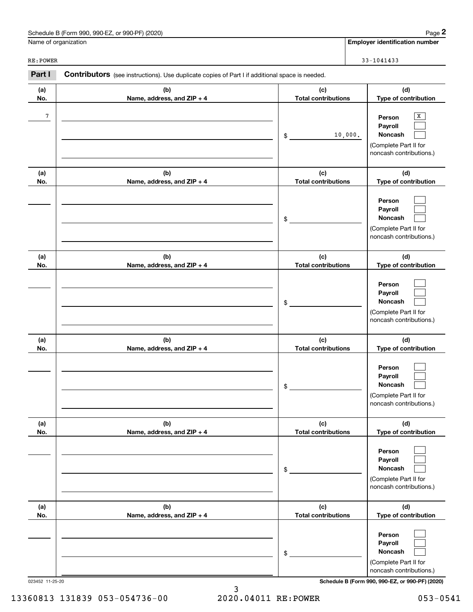| Schedule B (Form 990, 990-EZ, or 990-PF) (2020) | Page |
|-------------------------------------------------|------|
|-------------------------------------------------|------|

Name of organization

Employer identification number

| RE: POWER  |                                                                                                |                                   | $33 - 1041433$                                                                        |
|------------|------------------------------------------------------------------------------------------------|-----------------------------------|---------------------------------------------------------------------------------------|
| Part I     | Contributors (see instructions). Use duplicate copies of Part I if additional space is needed. |                                   |                                                                                       |
| (a)<br>No. | (b)<br>Name, address, and ZIP + 4                                                              | (c)<br><b>Total contributions</b> | (d)<br>Type of contribution                                                           |
| 7          |                                                                                                | 10,000.<br>\$                     | X<br>Person<br>Payroll<br>Noncash<br>(Complete Part II for<br>noncash contributions.) |
| (a)<br>No. | (b)<br>Name, address, and ZIP + 4                                                              | (c)<br><b>Total contributions</b> | (d)<br>Type of contribution                                                           |
|            |                                                                                                | \$                                | Person<br>Payroll<br>Noncash<br>(Complete Part II for<br>noncash contributions.)      |
| (a)<br>No. | (b)<br>Name, address, and ZIP + 4                                                              | (c)<br><b>Total contributions</b> | (d)<br>Type of contribution                                                           |
|            |                                                                                                | \$                                | Person<br>Payroll<br>Noncash<br>(Complete Part II for<br>noncash contributions.)      |
| (a)<br>No. | (b)<br>Name, address, and ZIP + 4                                                              | (c)<br><b>Total contributions</b> | (d)<br>Type of contribution                                                           |
|            |                                                                                                | \$                                | Person<br>Payroll<br>Noncash<br>(Complete Part II for<br>noncash contributions.)      |
| (a)<br>No. | (b)<br>Name, address, and ZIP + 4                                                              | (c)<br><b>Total contributions</b> | (d)<br>Type of contribution                                                           |
|            |                                                                                                | \$                                | Person<br>Payroll<br>Noncash<br>(Complete Part II for<br>noncash contributions.)      |
| (a)<br>No. | (b)<br>Name, address, and ZIP + 4                                                              | (c)<br><b>Total contributions</b> | (d)<br>Type of contribution                                                           |
|            |                                                                                                | \$                                | Person<br>Payroll<br>Noncash<br>(Complete Part II for<br>noncash contributions.)      |

023452 11-25-20 Schedule B (Form 990, 990-EZ, or 990-PF) (2020)

3<br>2020.04011 RE:POWER

13360813 131839 053-054736-00 2020.04011 RE:POWER 053-0541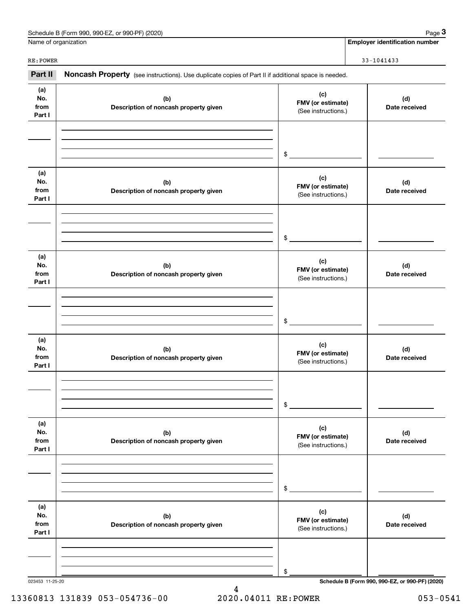| Schedule B (Form 990, 990-EZ, or 990-PF) (2020) | Page |
|-------------------------------------------------|------|
|-------------------------------------------------|------|

Page  $3$ 

Name of organization

Employer identification number

RE:POWER 33-1041433

| Part II                      | Noncash Property (see instructions). Use duplicate copies of Part II if additional space is needed. |                                                 |                                                 |
|------------------------------|-----------------------------------------------------------------------------------------------------|-------------------------------------------------|-------------------------------------------------|
| (a)<br>No.<br>from<br>Part I | (b)<br>Description of noncash property given                                                        | (c)<br>FMV (or estimate)<br>(See instructions.) | (d)<br>Date received                            |
|                              |                                                                                                     | \$                                              |                                                 |
| (a)<br>No.<br>from<br>Part I | (b)<br>Description of noncash property given                                                        | (c)<br>FMV (or estimate)<br>(See instructions.) | (d)<br>Date received                            |
|                              |                                                                                                     | \$                                              |                                                 |
| (a)<br>No.<br>from<br>Part I | (b)<br>Description of noncash property given                                                        | (c)<br>FMV (or estimate)<br>(See instructions.) | (d)<br>Date received                            |
|                              |                                                                                                     | \$                                              |                                                 |
| (a)<br>No.<br>from<br>Part I | (b)<br>Description of noncash property given                                                        | (c)<br>FMV (or estimate)<br>(See instructions.) | (d)<br>Date received                            |
|                              |                                                                                                     | \$                                              |                                                 |
| (a)<br>No.<br>from<br>Part I | (b)<br>Description of noncash property given                                                        | (c)<br>FMV (or estimate)<br>(See instructions.) | (d)<br>Date received                            |
|                              |                                                                                                     | \$                                              |                                                 |
| (a)<br>No.<br>from<br>Part I | (b)<br>Description of noncash property given                                                        | (c)<br>FMV (or estimate)<br>(See instructions.) | (d)<br>Date received                            |
|                              |                                                                                                     | \$                                              |                                                 |
| 023453 11-25-20              |                                                                                                     |                                                 | Schedule B (Form 990, 990-EZ, or 990-PF) (2020) |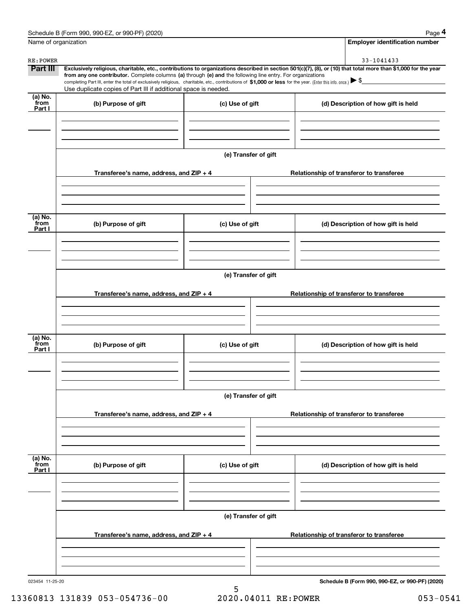| Name of organization      |                                                                                                                                                                               |                      | <b>Employer identification number</b>                                                                                                                                             |  |
|---------------------------|-------------------------------------------------------------------------------------------------------------------------------------------------------------------------------|----------------------|-----------------------------------------------------------------------------------------------------------------------------------------------------------------------------------|--|
| RE: POWER                 |                                                                                                                                                                               |                      | 33-1041433                                                                                                                                                                        |  |
| Part III                  |                                                                                                                                                                               |                      | Exclusively religious, charitable, etc., contributions to organizations described in section 501(c)(7), (8), or (10) that total more than \$1,000 for the year                    |  |
|                           | from any one contributor. Complete columns (a) through (e) and the following line entry. For organizations<br>Use duplicate copies of Part III if additional space is needed. |                      | completing Part III, enter the total of exclusively religious, charitable, etc., contributions of \$1,000 or less for the year. (Enter this info. once.) $\blacktriangleright$ \$ |  |
| (a) No.<br>from           | (b) Purpose of gift                                                                                                                                                           | (c) Use of gift      | (d) Description of how gift is held                                                                                                                                               |  |
| Part I                    |                                                                                                                                                                               |                      |                                                                                                                                                                                   |  |
|                           |                                                                                                                                                                               |                      |                                                                                                                                                                                   |  |
|                           |                                                                                                                                                                               | (e) Transfer of gift |                                                                                                                                                                                   |  |
|                           | Transferee's name, address, and ZIP + 4                                                                                                                                       |                      | Relationship of transferor to transferee                                                                                                                                          |  |
|                           |                                                                                                                                                                               |                      |                                                                                                                                                                                   |  |
| $\overline{a}$ ) No.      |                                                                                                                                                                               |                      |                                                                                                                                                                                   |  |
| from<br>Part I            | (b) Purpose of gift                                                                                                                                                           | (c) Use of gift      | (d) Description of how gift is held                                                                                                                                               |  |
|                           |                                                                                                                                                                               |                      |                                                                                                                                                                                   |  |
|                           |                                                                                                                                                                               | (e) Transfer of gift |                                                                                                                                                                                   |  |
|                           | Transferee's name, address, and $ZIP + 4$                                                                                                                                     |                      | Relationship of transferor to transferee                                                                                                                                          |  |
|                           |                                                                                                                                                                               |                      |                                                                                                                                                                                   |  |
| $\overline{a}$ ) No.      |                                                                                                                                                                               |                      |                                                                                                                                                                                   |  |
| from<br>Part I            | (b) Purpose of gift                                                                                                                                                           | (c) Use of gift      | (d) Description of how gift is held                                                                                                                                               |  |
|                           |                                                                                                                                                                               |                      |                                                                                                                                                                                   |  |
|                           |                                                                                                                                                                               | (e) Transfer of gift |                                                                                                                                                                                   |  |
|                           | Transferee's name, address, and ZIP + 4                                                                                                                                       |                      | Relationship of transferor to transferee                                                                                                                                          |  |
|                           |                                                                                                                                                                               |                      |                                                                                                                                                                                   |  |
|                           |                                                                                                                                                                               |                      |                                                                                                                                                                                   |  |
| (a) No.<br>from<br>Part I | (b) Purpose of gift                                                                                                                                                           | (c) Use of gift      | (d) Description of how gift is held                                                                                                                                               |  |
|                           |                                                                                                                                                                               |                      |                                                                                                                                                                                   |  |
|                           |                                                                                                                                                                               |                      |                                                                                                                                                                                   |  |
|                           | (e) Transfer of gift<br>Transferee's name, address, and ZIP + 4                                                                                                               |                      |                                                                                                                                                                                   |  |
|                           |                                                                                                                                                                               |                      | Relationship of transferor to transferee                                                                                                                                          |  |
|                           |                                                                                                                                                                               |                      |                                                                                                                                                                                   |  |
| 023454 11-25-20           |                                                                                                                                                                               |                      | Schedule B (Form 990, 990-EZ, or 990-PF) (2020)                                                                                                                                   |  |

13360813 131839 053-054736-00 2020.04011 RE:POWER 053-0541

5<br>2020.04011 RE:POWER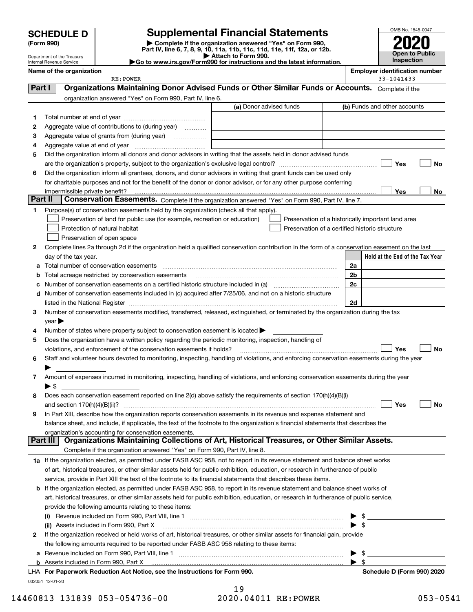| <b>SCHEDULE D</b> |  |
|-------------------|--|
|-------------------|--|

Department of the Treasury Internal Revenue Service

(Form 990) | Complete if the organization answered "Yes" on Form 990, Part IV, line 6, 7, 8, 9, 10, 11a, 11b, 11c, 11d, 11e, 11f, 12a, or 12b. SCHEDULE D Supplemental Financial Statements<br>
Form 990) Somplete if the organization answered "Yes" on Form 990,<br>
Part IV, line 6, 7, 8, 9, 10, 11a, 11b, 11c, 11d, 11e, 11f, 12a, or 12b.



▶ Attach to Form 990.<br>▶ Go to www.irs.gov/Form990 for instructions and the latest information.

|         | Name of the organization<br>RE: POWER                                                                                                                                                                                          |                                                    |    |                          | <b>Employer identification number</b><br>33-1041433 |    |
|---------|--------------------------------------------------------------------------------------------------------------------------------------------------------------------------------------------------------------------------------|----------------------------------------------------|----|--------------------------|-----------------------------------------------------|----|
| Part I  | Organizations Maintaining Donor Advised Funds or Other Similar Funds or Accounts. Complete if the                                                                                                                              |                                                    |    |                          |                                                     |    |
|         | organization answered "Yes" on Form 990, Part IV, line 6.                                                                                                                                                                      |                                                    |    |                          |                                                     |    |
|         |                                                                                                                                                                                                                                | (a) Donor advised funds                            |    |                          | (b) Funds and other accounts                        |    |
| 1       |                                                                                                                                                                                                                                |                                                    |    |                          |                                                     |    |
| 2       | Aggregate value of contributions to (during year)                                                                                                                                                                              |                                                    |    |                          |                                                     |    |
| з       | Aggregate value of grants from (during year)                                                                                                                                                                                   |                                                    |    |                          |                                                     |    |
| 4       |                                                                                                                                                                                                                                |                                                    |    |                          |                                                     |    |
| 5       | Did the organization inform all donors and donor advisors in writing that the assets held in donor advised funds                                                                                                               |                                                    |    |                          |                                                     |    |
|         |                                                                                                                                                                                                                                |                                                    |    |                          | Yes                                                 | No |
| 6       | Did the organization inform all grantees, donors, and donor advisors in writing that grant funds can be used only                                                                                                              |                                                    |    |                          |                                                     |    |
|         | for charitable purposes and not for the benefit of the donor or donor advisor, or for any other purpose conferring                                                                                                             |                                                    |    |                          |                                                     |    |
|         |                                                                                                                                                                                                                                |                                                    |    |                          | Yes                                                 | No |
| Part II | Conservation Easements. Complete if the organization answered "Yes" on Form 990, Part IV, line 7.                                                                                                                              |                                                    |    |                          |                                                     |    |
| 1       | Purpose(s) of conservation easements held by the organization (check all that apply).                                                                                                                                          |                                                    |    |                          |                                                     |    |
|         | Preservation of land for public use (for example, recreation or education)                                                                                                                                                     | Preservation of a historically important land area |    |                          |                                                     |    |
|         | Protection of natural habitat                                                                                                                                                                                                  | Preservation of a certified historic structure     |    |                          |                                                     |    |
|         | Preservation of open space                                                                                                                                                                                                     |                                                    |    |                          |                                                     |    |
| 2       | Complete lines 2a through 2d if the organization held a qualified conservation contribution in the form of a conservation easement on the last                                                                                 |                                                    |    |                          |                                                     |    |
|         | day of the tax year.                                                                                                                                                                                                           |                                                    |    |                          | Held at the End of the Tax Year                     |    |
|         | a Total number of conservation easements                                                                                                                                                                                       |                                                    | 2a |                          |                                                     |    |
| b       | Total acreage restricted by conservation easements                                                                                                                                                                             |                                                    | 2b |                          |                                                     |    |
| c       |                                                                                                                                                                                                                                |                                                    | 2c |                          |                                                     |    |
| d       | Number of conservation easements included in (c) acquired after 7/25/06, and not on a historic structure                                                                                                                       |                                                    |    |                          |                                                     |    |
|         | listed in the National Register [[11] matter contract the National Register [11] matter is not all the National Register [11] matter is not all the National Register [11] matter is not all the National Register [11] matter |                                                    |    | 2d                       |                                                     |    |
| з       | Number of conservation easements modified, transferred, released, extinguished, or terminated by the organization during the tax                                                                                               |                                                    |    |                          |                                                     |    |
|         | year                                                                                                                                                                                                                           |                                                    |    |                          |                                                     |    |
| 4       | Number of states where property subject to conservation easement is located >                                                                                                                                                  |                                                    |    |                          |                                                     |    |
| 5       | Does the organization have a written policy regarding the periodic monitoring, inspection, handling of                                                                                                                         |                                                    |    |                          |                                                     |    |
|         | violations, and enforcement of the conservation easements it holds?                                                                                                                                                            |                                                    |    |                          | Yes                                                 | No |
| 6       | Staff and volunteer hours devoted to monitoring, inspecting, handling of violations, and enforcing conservation easements during the year                                                                                      |                                                    |    |                          |                                                     |    |
|         |                                                                                                                                                                                                                                |                                                    |    |                          |                                                     |    |
| 7       | Amount of expenses incurred in monitoring, inspecting, handling of violations, and enforcing conservation easements during the year                                                                                            |                                                    |    |                          |                                                     |    |
|         | $\blacktriangleright$ \$                                                                                                                                                                                                       |                                                    |    |                          |                                                     |    |
| 8       | Does each conservation easement reported on line 2(d) above satisfy the requirements of section 170(h)(4)(B)(i)                                                                                                                |                                                    |    |                          |                                                     |    |
|         |                                                                                                                                                                                                                                |                                                    |    |                          | Yes                                                 | No |
|         | In Part XIII, describe how the organization reports conservation easements in its revenue and expense statement and                                                                                                            |                                                    |    |                          |                                                     |    |
|         | balance sheet, and include, if applicable, the text of the footnote to the organization's financial statements that describes the                                                                                              |                                                    |    |                          |                                                     |    |
|         | organization's accounting for conservation easements.<br>Organizations Maintaining Collections of Art, Historical Treasures, or Other Similar Assets.<br>Part III                                                              |                                                    |    |                          |                                                     |    |
|         | Complete if the organization answered "Yes" on Form 990, Part IV, line 8.                                                                                                                                                      |                                                    |    |                          |                                                     |    |
|         | 1a If the organization elected, as permitted under FASB ASC 958, not to report in its revenue statement and balance sheet works                                                                                                |                                                    |    |                          |                                                     |    |
|         | of art, historical treasures, or other similar assets held for public exhibition, education, or research in furtherance of public                                                                                              |                                                    |    |                          |                                                     |    |
|         | service, provide in Part XIII the text of the footnote to its financial statements that describes these items.                                                                                                                 |                                                    |    |                          |                                                     |    |
|         | <b>b</b> If the organization elected, as permitted under FASB ASC 958, to report in its revenue statement and balance sheet works of                                                                                           |                                                    |    |                          |                                                     |    |
|         | art, historical treasures, or other similar assets held for public exhibition, education, or research in furtherance of public service,                                                                                        |                                                    |    |                          |                                                     |    |
|         | provide the following amounts relating to these items:                                                                                                                                                                         |                                                    |    |                          |                                                     |    |
|         |                                                                                                                                                                                                                                |                                                    |    |                          |                                                     |    |
|         | (ii) Assets included in Form 990, Part X                                                                                                                                                                                       |                                                    |    |                          | $\blacktriangleright$ \$                            |    |
| 2       | If the organization received or held works of art, historical treasures, or other similar assets for financial gain, provide                                                                                                   |                                                    |    |                          |                                                     |    |
|         | the following amounts required to be reported under FASB ASC 958 relating to these items:                                                                                                                                      |                                                    |    |                          |                                                     |    |
|         |                                                                                                                                                                                                                                |                                                    |    | - \$                     |                                                     |    |
|         |                                                                                                                                                                                                                                |                                                    |    | $\blacktriangleright$ \$ |                                                     |    |
|         | LHA For Paperwork Reduction Act Notice, see the Instructions for Form 990.                                                                                                                                                     |                                                    |    |                          | Schedule D (Form 990) 2020                          |    |
|         | 032051 12-01-20                                                                                                                                                                                                                |                                                    |    |                          |                                                     |    |
|         |                                                                                                                                                                                                                                | 10.                                                |    |                          |                                                     |    |

19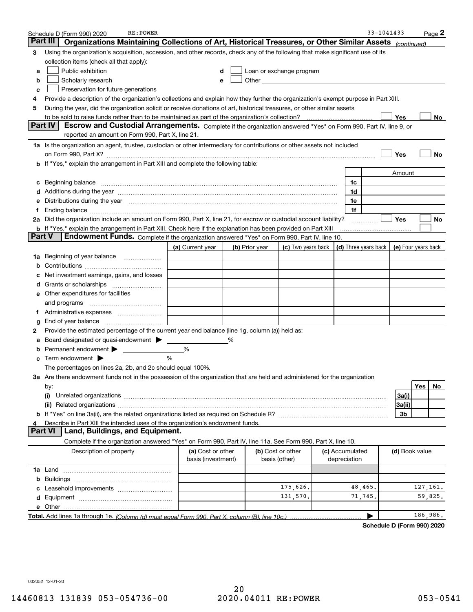|        | RE: POWER<br>Schedule D (Form 990) 2020                                                                                                                                                                                        |                                         |                |                                                                                                               |                                 | 33-1041433 |                     |           | Page <sup>2</sup> |
|--------|--------------------------------------------------------------------------------------------------------------------------------------------------------------------------------------------------------------------------------|-----------------------------------------|----------------|---------------------------------------------------------------------------------------------------------------|---------------------------------|------------|---------------------|-----------|-------------------|
|        | Part III<br>Organizations Maintaining Collections of Art, Historical Treasures, or Other Similar Assets (continued)                                                                                                            |                                         |                |                                                                                                               |                                 |            |                     |           |                   |
| з      | Using the organization's acquisition, accession, and other records, check any of the following that make significant use of its                                                                                                |                                         |                |                                                                                                               |                                 |            |                     |           |                   |
|        | collection items (check all that apply):                                                                                                                                                                                       |                                         |                |                                                                                                               |                                 |            |                     |           |                   |
| a      | Public exhibition                                                                                                                                                                                                              | d                                       |                | Loan or exchange program                                                                                      |                                 |            |                     |           |                   |
| b      | Scholarly research                                                                                                                                                                                                             | e                                       |                | Other and the contract of the contract of the contract of the contract of the contract of the contract of the |                                 |            |                     |           |                   |
| с      | Preservation for future generations                                                                                                                                                                                            |                                         |                |                                                                                                               |                                 |            |                     |           |                   |
| 4      | Provide a description of the organization's collections and explain how they further the organization's exempt purpose in Part XIII.                                                                                           |                                         |                |                                                                                                               |                                 |            |                     |           |                   |
| 5      | During the year, did the organization solicit or receive donations of art, historical treasures, or other similar assets                                                                                                       |                                         |                |                                                                                                               |                                 |            |                     |           |                   |
|        | to be sold to raise funds rather than to be maintained as part of the organization's collection?                                                                                                                               |                                         |                |                                                                                                               |                                 |            | Yes                 |           | No                |
|        | <b>Part IV</b><br>Escrow and Custodial Arrangements. Complete if the organization answered "Yes" on Form 990, Part IV, line 9, or                                                                                              |                                         |                |                                                                                                               |                                 |            |                     |           |                   |
|        | reported an amount on Form 990, Part X, line 21.                                                                                                                                                                               |                                         |                |                                                                                                               |                                 |            |                     |           |                   |
|        | 1a Is the organization an agent, trustee, custodian or other intermediary for contributions or other assets not included                                                                                                       |                                         |                |                                                                                                               |                                 |            |                     |           |                   |
|        | on Form 990, Part X? [11] matter and the contract of the contract of the contract of the contract of the contract of the contract of the contract of the contract of the contract of the contract of the contract of the contr |                                         |                |                                                                                                               |                                 |            | Yes                 |           | No                |
|        | b If "Yes," explain the arrangement in Part XIII and complete the following table:                                                                                                                                             |                                         |                |                                                                                                               |                                 |            |                     |           |                   |
|        |                                                                                                                                                                                                                                |                                         |                |                                                                                                               |                                 |            | Amount              |           |                   |
| с      |                                                                                                                                                                                                                                |                                         |                |                                                                                                               | 1c                              |            |                     |           |                   |
|        | Additions during the year manufactured and an annual contract of the year manufactured and a set of the year manufactured and a set of the year manufactured and a set of the year manufactured and a set of the year manufact |                                         |                |                                                                                                               | 1d                              |            |                     |           |                   |
| е      | Distributions during the year manufactured and continuum and the year manufactured and the year manufactured and the year manufactured and the year manufactured and the year manufactured and the year manufactured and the y |                                         |                |                                                                                                               | 1e                              |            |                     |           |                   |
| f      |                                                                                                                                                                                                                                |                                         |                |                                                                                                               | 1f                              |            |                     |           |                   |
|        | 2a Did the organization include an amount on Form 990, Part X, line 21, for escrow or custodial account liability?                                                                                                             |                                         |                |                                                                                                               |                                 |            | Yes                 |           | No                |
| Part V | <b>b</b> If "Yes," explain the arrangement in Part XIII. Check here if the explanation has been provided on Part XIII<br>Endowment Funds. Complete if the organization answered "Yes" on Form 990, Part IV, line 10.           |                                         |                |                                                                                                               |                                 |            |                     |           |                   |
|        |                                                                                                                                                                                                                                |                                         |                |                                                                                                               |                                 |            |                     |           |                   |
|        |                                                                                                                                                                                                                                | (a) Current year                        | (b) Prior year | (c) Two years back                                                                                            | (d) Three years back            |            | (e) Four years back |           |                   |
| 1a     | Beginning of year balance                                                                                                                                                                                                      |                                         |                |                                                                                                               |                                 |            |                     |           |                   |
| b      |                                                                                                                                                                                                                                |                                         |                |                                                                                                               |                                 |            |                     |           |                   |
|        | Net investment earnings, gains, and losses                                                                                                                                                                                     |                                         |                |                                                                                                               |                                 |            |                     |           |                   |
| a      |                                                                                                                                                                                                                                |                                         |                |                                                                                                               |                                 |            |                     |           |                   |
| е      | Other expenditures for facilities                                                                                                                                                                                              |                                         |                |                                                                                                               |                                 |            |                     |           |                   |
| f.     | and programs                                                                                                                                                                                                                   |                                         |                |                                                                                                               |                                 |            |                     |           |                   |
|        | End of year balance                                                                                                                                                                                                            |                                         |                |                                                                                                               |                                 |            |                     |           |                   |
| g<br>2 | Provide the estimated percentage of the current year end balance (line 1g, column (a)) held as:                                                                                                                                |                                         |                |                                                                                                               |                                 |            |                     |           |                   |
|        | Board designated or quasi-endowment > ____                                                                                                                                                                                     |                                         | %              |                                                                                                               |                                 |            |                     |           |                   |
|        | Permanent endowment > ______________                                                                                                                                                                                           | %                                       |                |                                                                                                               |                                 |            |                     |           |                   |
| с      | Term endowment $\blacktriangleright$                                                                                                                                                                                           | %                                       |                |                                                                                                               |                                 |            |                     |           |                   |
|        | The percentages on lines 2a, 2b, and 2c should equal 100%.                                                                                                                                                                     |                                         |                |                                                                                                               |                                 |            |                     |           |                   |
|        | 3a Are there endowment funds not in the possession of the organization that are held and administered for the organization                                                                                                     |                                         |                |                                                                                                               |                                 |            |                     |           |                   |
|        | by:                                                                                                                                                                                                                            |                                         |                |                                                                                                               |                                 |            |                     | Yes       | No                |
|        |                                                                                                                                                                                                                                |                                         |                |                                                                                                               |                                 |            | 3a(i)               |           |                   |
|        |                                                                                                                                                                                                                                |                                         |                |                                                                                                               |                                 |            | 3a(ii)              |           |                   |
|        |                                                                                                                                                                                                                                |                                         |                |                                                                                                               |                                 |            | 3b                  |           |                   |
|        | Describe in Part XIII the intended uses of the organization's endowment funds.                                                                                                                                                 |                                         |                |                                                                                                               |                                 |            |                     |           |                   |
|        | Land, Buildings, and Equipment.<br>Part VI                                                                                                                                                                                     |                                         |                |                                                                                                               |                                 |            |                     |           |                   |
|        | Complete if the organization answered "Yes" on Form 990, Part IV, line 11a. See Form 990, Part X, line 10.                                                                                                                     |                                         |                |                                                                                                               |                                 |            |                     |           |                   |
|        | Description of property                                                                                                                                                                                                        | (a) Cost or other<br>basis (investment) |                | (b) Cost or other<br>basis (other)                                                                            | (c) Accumulated<br>depreciation |            | (d) Book value      |           |                   |
|        |                                                                                                                                                                                                                                |                                         |                |                                                                                                               |                                 |            |                     |           |                   |
| b      |                                                                                                                                                                                                                                |                                         |                |                                                                                                               |                                 |            |                     |           |                   |
|        |                                                                                                                                                                                                                                |                                         |                | 175,626.                                                                                                      | 48,465.                         |            |                     | 127, 161. |                   |
| d      |                                                                                                                                                                                                                                |                                         |                | 131,570.                                                                                                      | 71,745.                         |            |                     | 59,825.   |                   |
|        | <b>e</b> Other                                                                                                                                                                                                                 |                                         |                |                                                                                                               |                                 |            |                     |           |                   |
|        |                                                                                                                                                                                                                                |                                         |                |                                                                                                               |                                 |            |                     | 186,986.  |                   |

Schedule D (Form 990) 2020

032052 12-01-20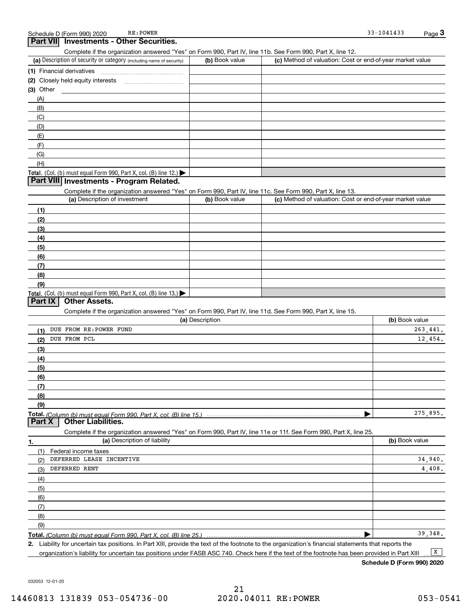#### **Part VII** Investments - Other Securities.

Complete if the organization answered "Yes" on Form 990, Part IV, line 11b. See Form 990, Part X, line 12.

| (a) Description of security or category (including name of security)       | (b) Book value | (c) Method of valuation: Cost or end-of-year market value |
|----------------------------------------------------------------------------|----------------|-----------------------------------------------------------|
| (1) Financial derivatives                                                  |                |                                                           |
| (2) Closely held equity interests                                          |                |                                                           |
| $(3)$ Other                                                                |                |                                                           |
| (A)                                                                        |                |                                                           |
| (B)                                                                        |                |                                                           |
| (C)                                                                        |                |                                                           |
| (D)                                                                        |                |                                                           |
| (E)                                                                        |                |                                                           |
| (F)                                                                        |                |                                                           |
| (G)                                                                        |                |                                                           |
| (H)                                                                        |                |                                                           |
| <b>Total.</b> (Col. (b) must equal Form 990, Part X, col. (B) line $12$ .) |                |                                                           |

#### **Part VIII Investments - Program Related.**

Complete if the organization answered "Yes" on Form 990, Part IV, line 11c. See Form 990, Part X, line 13.

| (a) Description of investment                                       | (b) Book value | (c) Method of valuation: Cost or end-of-year market value |
|---------------------------------------------------------------------|----------------|-----------------------------------------------------------|
| (1)                                                                 |                |                                                           |
| (2)                                                                 |                |                                                           |
| $\left(3\right)$                                                    |                |                                                           |
| (4)                                                                 |                |                                                           |
| (5)                                                                 |                |                                                           |
| (6)                                                                 |                |                                                           |
| (7)                                                                 |                |                                                           |
| (8)                                                                 |                |                                                           |
| (9)                                                                 |                |                                                           |
| Total. (Col. (b) must equal Form 990, Part X, col. (B) line $13$ .) |                |                                                           |

#### Part IX | Other Assets.

Complete if the organization answered "Yes" on Form 990, Part IV, line 11d. See Form 990, Part X, line 15.

| (a) Description                  | (b) Book value |
|----------------------------------|----------------|
| DUE FROM RE: POWER FUND          | 263,441.       |
| DUE FROM PCL<br>(2)              | 12,454.        |
| (3)                              |                |
| (4)                              |                |
| (5)                              |                |
| (6)                              |                |
|                                  |                |
| (8)                              |                |
| (9)                              |                |
|                                  | 275,895.       |
| <b>Part X</b> Other Liabilities. |                |

Complete if the organization answered "Yes" on Form 990, Part IV, line 11e or 11f. See Form 990, Part X, line 25.

| 1.  | (a) Description of liability | (b) Book value |
|-----|------------------------------|----------------|
|     | (1) Federal income taxes     |                |
| (2) | DEFERRED LEASE INCENTIVE     | 34,940.        |
| (3) | DEFERRED RENT                | 4,408.         |
| (4) |                              |                |
| (5) |                              |                |
| (6) |                              |                |
| (7) |                              |                |
| (8) |                              |                |
| (9) |                              |                |
|     |                              | 39,348.        |

Total. (Column (b) must equal Form 990, Part X, col. (B) line 25.)

2. Liability for uncertain tax positions. In Part XIII, provide the text of the footnote to the organization's financial statements that reports the organization's liability for uncertain tax positions under FASB ASC 740. Check here if the text of the footnote has been provided in Part XIII  $\boxed{\mathbf{X}}$ 

Schedule D (Form 990) 2020

032053 12-01-20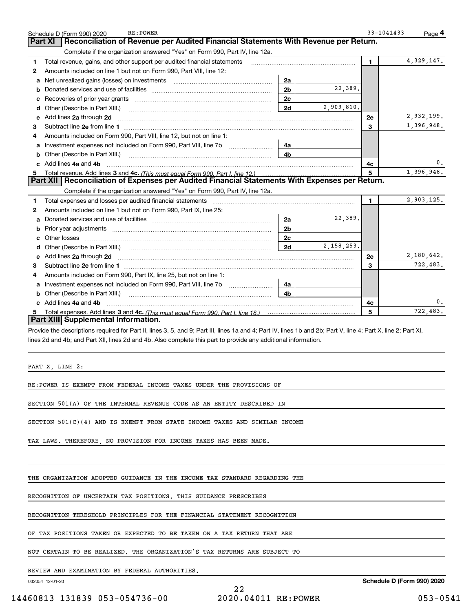|    | RE: POWER<br>Schedule D (Form 990) 2020                                                                                                                                                                                                                                          |                |              | 33-1041433     | Page 4       |
|----|----------------------------------------------------------------------------------------------------------------------------------------------------------------------------------------------------------------------------------------------------------------------------------|----------------|--------------|----------------|--------------|
|    | Reconciliation of Revenue per Audited Financial Statements With Revenue per Return.<br>Part XI                                                                                                                                                                                   |                |              |                |              |
|    | Complete if the organization answered "Yes" on Form 990, Part IV, line 12a.                                                                                                                                                                                                      |                |              |                |              |
| 1  | Total revenue, gains, and other support per audited financial statements                                                                                                                                                                                                         |                |              | $\blacksquare$ | 4, 329, 147. |
| 2  | Amounts included on line 1 but not on Form 990, Part VIII, line 12:                                                                                                                                                                                                              |                |              |                |              |
| a  | Net unrealized gains (losses) on investments [11] matter contracts and the unrealized gains (losses) on investments                                                                                                                                                              | 2a             |              |                |              |
| b  |                                                                                                                                                                                                                                                                                  | 2 <sub>b</sub> | 22,389.      |                |              |
| с  |                                                                                                                                                                                                                                                                                  | 2c             |              |                |              |
| d  | Other (Describe in Part XIII.)                                                                                                                                                                                                                                                   | 2d             | 2,909,810.   |                |              |
| е  | Add lines 2a through 2d                                                                                                                                                                                                                                                          |                |              | 2e             | 2,932,199.   |
| 3  | Subtract line 2e from line 1                                                                                                                                                                                                                                                     |                |              | 3              | 1,396,948.   |
| 4  | Amounts included on Form 990, Part VIII, line 12, but not on line 1:                                                                                                                                                                                                             |                |              |                |              |
|    | a Investment expenses not included on Form 990, Part VIII, line 7b                                                                                                                                                                                                               | 4a             |              |                |              |
| b  | Other (Describe in Part XIII.)                                                                                                                                                                                                                                                   | 4b             |              |                |              |
| c  | Add lines 4a and 4b                                                                                                                                                                                                                                                              |                |              | 4c             |              |
| 5  | Total revenue. Add lines 3 and 4c. (This must equal Form 990, Part I, line 12.)                                                                                                                                                                                                  |                |              | 5              | 1,396,948.   |
|    | Part XII   Reconciliation of Expenses per Audited Financial Statements With Expenses per Return.                                                                                                                                                                                 |                |              |                |              |
|    | Complete if the organization answered "Yes" on Form 990, Part IV, line 12a.                                                                                                                                                                                                      |                |              |                |              |
| 1  | Total expenses and losses per audited financial statements                                                                                                                                                                                                                       |                |              | $\blacksquare$ | 2,903,125.   |
| 2  | Amounts included on line 1 but not on Form 990, Part IX, line 25:                                                                                                                                                                                                                |                |              |                |              |
| a  |                                                                                                                                                                                                                                                                                  | 2a             | 22,389.      |                |              |
| b  | Prior year adjustments [111] matter contracts and the contracts and the contracts and the contracts and the contracts and the contracts and the contracts and contracts and contracts and contracts and contracts and contract                                                   | 2 <sub>b</sub> |              |                |              |
| с  | Other losses                                                                                                                                                                                                                                                                     | 2c             |              |                |              |
| d  |                                                                                                                                                                                                                                                                                  | 2d             | 2, 158, 253. |                |              |
| е  | Add lines 2a through 2d                                                                                                                                                                                                                                                          |                |              | 2e             | 2,180,642.   |
| 3  |                                                                                                                                                                                                                                                                                  |                |              | 3              | 722,483.     |
| 4  | Amounts included on Form 990, Part IX, line 25, but not on line 1:                                                                                                                                                                                                               |                |              |                |              |
| а  | Investment expenses not included on Form 990, Part VIII, line 7b                                                                                                                                                                                                                 | 4a             |              |                |              |
| b  | Other (Describe in Part XIII.)                                                                                                                                                                                                                                                   | 4b             |              |                |              |
|    | c Add lines 4a and 4b                                                                                                                                                                                                                                                            |                |              | 4с             |              |
| 5. |                                                                                                                                                                                                                                                                                  |                |              | 5              | 722,483.     |
|    | Part XIII Supplemental Information.                                                                                                                                                                                                                                              |                |              |                |              |
|    | Provide the descriptions required for Part II, lines 3, 5, and 9; Part III, lines 1a and 4; Part IV, lines 1b and 2b; Part V, line 4; Part X, line 2; Part XI,<br>lines 2d and 4b; and Part XII, lines 2d and 4b. Also complete this part to provide any additional information. |                |              |                |              |
|    | PART X, LINE 2:                                                                                                                                                                                                                                                                  |                |              |                |              |
|    | RE:POWER IS EXEMPT FROM FEDERAL INCOME TAXES UNDER THE PROVISIONS OF                                                                                                                                                                                                             |                |              |                |              |
|    | SECTION 501(A) OF THE INTERNAL REVENUE CODE AS AN ENTITY DESCRIBED IN                                                                                                                                                                                                            |                |              |                |              |
|    | SECTION $501(C)(4)$ AND IS EXEMPT FROM STATE INCOME TAXES AND SIMILAR INCOME                                                                                                                                                                                                     |                |              |                |              |

TAX LAWS. THEREFORE, NO PROVISION FOR INCOME TAXES HAS BEEN MADE.

THE ORGANIZATION ADOPTED GUIDANCE IN THE INCOME TAX STANDARD REGARDING THE

RECOGNITION OF UNCERTAIN TAX POSITIONS. THIS GUIDANCE PRESCRIBES

RECOGNITION THRESHOLD PRINCIPLES FOR THE FINANCIAL STATEMENT RECOGNITION

OF TAX POSITIONS TAKEN OR EXPECTED TO BE TAKEN ON A TAX RETURN THAT ARE

NOT CERTAIN TO BE REALIZED. THE ORGANIZATION'S TAX RETURNS ARE SUBJECT TO

REVIEW AND EXAMINATION BY FEDERAL AUTHORITIES.

032054 12-01-20

22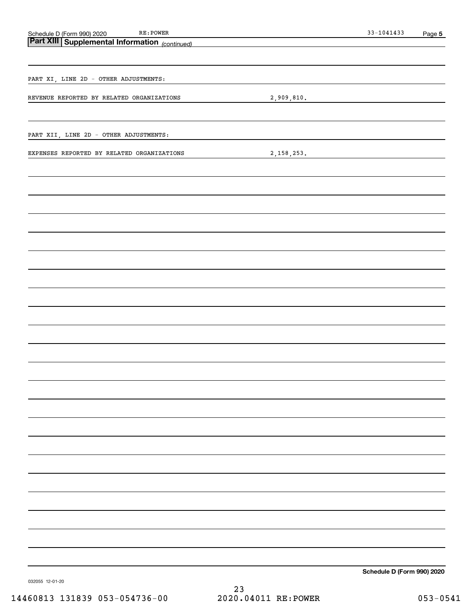| Schedule D (Form 990) 2020 RE: POWER<br><b>Part XIII   Supplemental Information</b> (continued) |  |                                                                            | $33 - 1041433$             | Page 5 |
|-------------------------------------------------------------------------------------------------|--|----------------------------------------------------------------------------|----------------------------|--------|
|                                                                                                 |  | the control of the control of the control of the control of the control of |                            |        |
|                                                                                                 |  |                                                                            |                            |        |
| PART XI, LINE 2D - OTHER ADJUSTMENTS:                                                           |  |                                                                            |                            |        |
| REVENUE REPORTED BY RELATED ORGANIZATIONS                                                       |  |                                                                            |                            |        |
|                                                                                                 |  |                                                                            | 2,909,810.                 |        |
|                                                                                                 |  |                                                                            |                            |        |
| PART XII, LINE 2D - OTHER ADJUSTMENTS:                                                          |  |                                                                            |                            |        |
| EXPENSES REPORTED BY RELATED ORGANIZATIONS                                                      |  |                                                                            | 2,158,253.                 |        |
|                                                                                                 |  |                                                                            |                            |        |
|                                                                                                 |  |                                                                            |                            |        |
|                                                                                                 |  |                                                                            |                            |        |
|                                                                                                 |  |                                                                            |                            |        |
|                                                                                                 |  |                                                                            |                            |        |
|                                                                                                 |  |                                                                            |                            |        |
|                                                                                                 |  |                                                                            |                            |        |
|                                                                                                 |  |                                                                            |                            |        |
|                                                                                                 |  |                                                                            |                            |        |
|                                                                                                 |  |                                                                            |                            |        |
|                                                                                                 |  |                                                                            |                            |        |
|                                                                                                 |  |                                                                            |                            |        |
|                                                                                                 |  |                                                                            |                            |        |
|                                                                                                 |  |                                                                            |                            |        |
|                                                                                                 |  |                                                                            |                            |        |
|                                                                                                 |  |                                                                            |                            |        |
|                                                                                                 |  |                                                                            |                            |        |
|                                                                                                 |  |                                                                            |                            |        |
|                                                                                                 |  |                                                                            |                            |        |
|                                                                                                 |  |                                                                            |                            |        |
|                                                                                                 |  |                                                                            |                            |        |
|                                                                                                 |  |                                                                            |                            |        |
|                                                                                                 |  |                                                                            |                            |        |
|                                                                                                 |  |                                                                            |                            |        |
|                                                                                                 |  |                                                                            |                            |        |
|                                                                                                 |  |                                                                            |                            |        |
|                                                                                                 |  |                                                                            |                            |        |
|                                                                                                 |  |                                                                            | Schedule D (Form 990) 2020 |        |

032055 12-01-20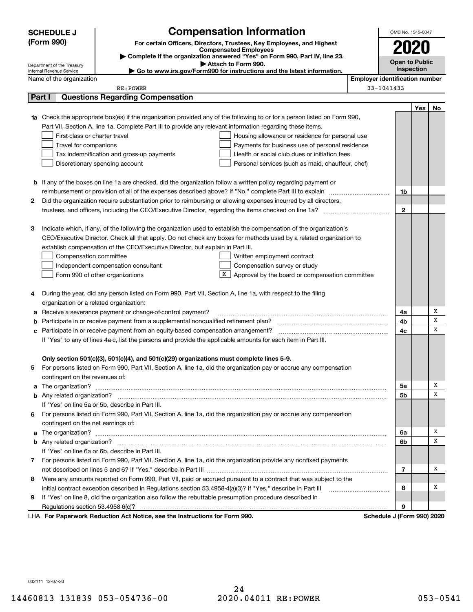|   | <b>Compensation Information</b><br><b>SCHEDULE J</b><br>OMB No. 1545-0047 |                                                                                                               |                                                                                                                                                                                                                                      |                                       |                       |     |     |
|---|---------------------------------------------------------------------------|---------------------------------------------------------------------------------------------------------------|--------------------------------------------------------------------------------------------------------------------------------------------------------------------------------------------------------------------------------------|---------------------------------------|-----------------------|-----|-----|
|   | (Form 990)                                                                |                                                                                                               | For certain Officers, Directors, Trustees, Key Employees, and Highest                                                                                                                                                                |                                       |                       |     |     |
|   |                                                                           |                                                                                                               | <b>Compensated Employees</b>                                                                                                                                                                                                         |                                       |                       |     |     |
|   |                                                                           |                                                                                                               | Complete if the organization answered "Yes" on Form 990, Part IV, line 23.                                                                                                                                                           |                                       | <b>Open to Public</b> |     |     |
|   | Department of the Treasury<br>Internal Revenue Service                    |                                                                                                               | Attach to Form 990.<br>Go to www.irs.gov/Form990 for instructions and the latest information.                                                                                                                                        |                                       | Inspection            |     |     |
|   | Name of the organization                                                  |                                                                                                               |                                                                                                                                                                                                                                      | <b>Employer identification number</b> |                       |     |     |
|   |                                                                           | RE: POWER                                                                                                     |                                                                                                                                                                                                                                      | 33-1041433                            |                       |     |     |
|   | Part I                                                                    | <b>Questions Regarding Compensation</b>                                                                       |                                                                                                                                                                                                                                      |                                       |                       |     |     |
|   |                                                                           |                                                                                                               |                                                                                                                                                                                                                                      |                                       |                       | Yes | No. |
|   |                                                                           |                                                                                                               | <b>1a</b> Check the appropriate box(es) if the organization provided any of the following to or for a person listed on Form 990,                                                                                                     |                                       |                       |     |     |
|   |                                                                           | Part VII, Section A, line 1a. Complete Part III to provide any relevant information regarding these items.    |                                                                                                                                                                                                                                      |                                       |                       |     |     |
|   | First-class or charter travel                                             |                                                                                                               | Housing allowance or residence for personal use                                                                                                                                                                                      |                                       |                       |     |     |
|   | Travel for companions                                                     |                                                                                                               | Payments for business use of personal residence                                                                                                                                                                                      |                                       |                       |     |     |
|   |                                                                           | Tax indemnification and gross-up payments                                                                     | Health or social club dues or initiation fees                                                                                                                                                                                        |                                       |                       |     |     |
|   |                                                                           | Discretionary spending account                                                                                | Personal services (such as maid, chauffeur, chef)                                                                                                                                                                                    |                                       |                       |     |     |
|   |                                                                           |                                                                                                               |                                                                                                                                                                                                                                      |                                       |                       |     |     |
|   |                                                                           |                                                                                                               | <b>b</b> If any of the boxes on line 1a are checked, did the organization follow a written policy regarding payment or                                                                                                               |                                       |                       |     |     |
|   |                                                                           |                                                                                                               | reimbursement or provision of all of the expenses described above? If "No," complete Part III to explain                                                                                                                             |                                       | 1b                    |     |     |
| 2 |                                                                           |                                                                                                               | Did the organization require substantiation prior to reimbursing or allowing expenses incurred by all directors,                                                                                                                     |                                       |                       |     |     |
|   |                                                                           |                                                                                                               |                                                                                                                                                                                                                                      |                                       | $\mathbf{2}$          |     |     |
|   |                                                                           |                                                                                                               |                                                                                                                                                                                                                                      |                                       |                       |     |     |
| З |                                                                           |                                                                                                               | Indicate which, if any, of the following the organization used to establish the compensation of the organization's                                                                                                                   |                                       |                       |     |     |
|   |                                                                           |                                                                                                               | CEO/Executive Director. Check all that apply. Do not check any boxes for methods used by a related organization to                                                                                                                   |                                       |                       |     |     |
|   |                                                                           | establish compensation of the CEO/Executive Director, but explain in Part III.                                |                                                                                                                                                                                                                                      |                                       |                       |     |     |
|   | Compensation committee                                                    |                                                                                                               | Written employment contract                                                                                                                                                                                                          |                                       |                       |     |     |
|   |                                                                           | Independent compensation consultant                                                                           | Compensation survey or study                                                                                                                                                                                                         |                                       |                       |     |     |
|   |                                                                           | Form 990 of other organizations                                                                               | х<br>Approval by the board or compensation committee                                                                                                                                                                                 |                                       |                       |     |     |
|   |                                                                           |                                                                                                               |                                                                                                                                                                                                                                      |                                       |                       |     |     |
|   |                                                                           | During the year, did any person listed on Form 990, Part VII, Section A, line 1a, with respect to the filing  |                                                                                                                                                                                                                                      |                                       |                       |     |     |
|   | organization or a related organization:                                   |                                                                                                               |                                                                                                                                                                                                                                      |                                       |                       |     |     |
| а |                                                                           | Receive a severance payment or change-of-control payment?                                                     |                                                                                                                                                                                                                                      |                                       | 4a                    |     | Х   |
|   |                                                                           | Participate in or receive payment from a supplemental nonqualified retirement plan?                           |                                                                                                                                                                                                                                      |                                       | 4b                    |     | X   |
|   |                                                                           | c Participate in or receive payment from an equity-based compensation arrangement?                            |                                                                                                                                                                                                                                      |                                       | 4c                    |     | x   |
|   |                                                                           | If "Yes" to any of lines 4a-c, list the persons and provide the applicable amounts for each item in Part III. |                                                                                                                                                                                                                                      |                                       |                       |     |     |
|   |                                                                           |                                                                                                               |                                                                                                                                                                                                                                      |                                       |                       |     |     |
|   |                                                                           | Only section 501(c)(3), 501(c)(4), and 501(c)(29) organizations must complete lines 5-9.                      |                                                                                                                                                                                                                                      |                                       |                       |     |     |
| 5 | contingent on the revenues of:                                            |                                                                                                               | For persons listed on Form 990, Part VII, Section A, line 1a, did the organization pay or accrue any compensation                                                                                                                    |                                       |                       |     |     |
|   |                                                                           |                                                                                                               |                                                                                                                                                                                                                                      |                                       | 5a                    |     | х   |
|   |                                                                           |                                                                                                               | a The organization? <b>Entitled Strategies and Strategies and Strategies and Strategies and Strategies and Strategies and Strategies and Strategies and Strategies and Strategies and Strategies and Strategies and Strategies a</b> |                                       | 5b                    |     | х   |
|   |                                                                           | If "Yes" on line 5a or 5b, describe in Part III.                                                              |                                                                                                                                                                                                                                      |                                       |                       |     |     |
|   |                                                                           |                                                                                                               | 6 For persons listed on Form 990, Part VII, Section A, line 1a, did the organization pay or accrue any compensation                                                                                                                  |                                       |                       |     |     |
|   | contingent on the net earnings of:                                        |                                                                                                               |                                                                                                                                                                                                                                      |                                       |                       |     |     |
|   |                                                                           |                                                                                                               |                                                                                                                                                                                                                                      |                                       | 6a                    |     | х   |
|   |                                                                           |                                                                                                               |                                                                                                                                                                                                                                      |                                       | 6b                    |     | х   |
|   |                                                                           | If "Yes" on line 6a or 6b, describe in Part III.                                                              |                                                                                                                                                                                                                                      |                                       |                       |     |     |
|   |                                                                           |                                                                                                               | 7 For persons listed on Form 990, Part VII, Section A, line 1a, did the organization provide any nonfixed payments                                                                                                                   |                                       |                       |     |     |
|   |                                                                           |                                                                                                               |                                                                                                                                                                                                                                      |                                       | 7                     |     | х   |
|   |                                                                           |                                                                                                               | 8 Were any amounts reported on Form 990, Part VII, paid or accrued pursuant to a contract that was subject to the                                                                                                                    |                                       |                       |     |     |
|   |                                                                           |                                                                                                               |                                                                                                                                                                                                                                      |                                       | 8                     |     | х   |
| 9 |                                                                           | If "Yes" on line 8, did the organization also follow the rebuttable presumption procedure described in        |                                                                                                                                                                                                                                      |                                       |                       |     |     |
|   |                                                                           |                                                                                                               |                                                                                                                                                                                                                                      |                                       | 9                     |     |     |
|   |                                                                           | LHA For Paperwork Reduction Act Notice, see the Instructions for Form 990.                                    |                                                                                                                                                                                                                                      | Schedule J (Form 990) 2020            |                       |     |     |

032111 12-07-20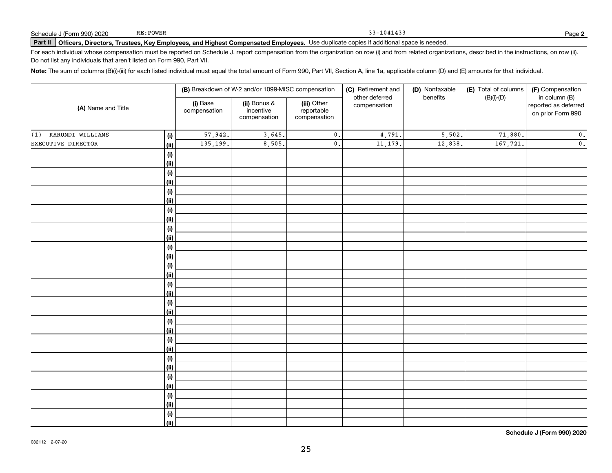#### Part II | Officers, Directors, Trustees, Key Employees, and Highest Compensated Employees. Use duplicate copies if additional space is needed.

For each individual whose compensation must be reported on Schedule J, report compensation from the organization on row (i) and from related organizations, described in the instructions, on row (ii). Do not list any individuals that aren't listed on Form 990, Part VII.

Note: The sum of columns (B)(i)-(iii) for each listed individual must equal the total amount of Form 990, Part VII, Section A, line 1a, applicable column (D) and (E) amounts for that individual.

| (i) Base<br>(ii) Bonus &<br>(iii) Other<br>reported as deferred<br>compensation<br>(A) Name and Title<br>incentive<br>reportable<br>compensation<br>on prior Form 990<br>compensation<br>compensation<br>KARUNDI WILLIAMS<br>57,942.<br>3,645.<br>5,502.<br>71,880.<br>$\mathbf 0$ .<br>4,791.<br>(1)<br>(i)<br>135,199.<br>8,505.<br>$\mathbf 0$ .<br>EXECUTIVE DIRECTOR<br>11,179.<br>12,838.<br>167,721.<br><u>(ii)</u><br>(i)<br><u>(ii)</u><br>(i)<br><u>(ii)</u><br>(i)<br><u>(ii)</u><br>(i)<br><u>(ii)</u><br>(i)<br><u>(ii)</u><br>(i)<br><u>(ii)</u><br>(i)<br><u>(ii)</u><br>(i)<br><u>(ii)</u><br>(i)<br><u>(ii)</u><br>(i)<br><u>(ii)</u><br>(i)<br><u>(ii)</u><br>(i)<br><u>(ii)</u><br>(i)<br><u>(ii)</u><br>(i)<br><u>(ii)</u><br>(i)<br>$\overline{}}$ |  |  | (B) Breakdown of W-2 and/or 1099-MISC compensation |  |  | (C) Retirement and | (D) Nontaxable | (E) Total of columns | (F) Compensation |
|-------------------------------------------------------------------------------------------------------------------------------------------------------------------------------------------------------------------------------------------------------------------------------------------------------------------------------------------------------------------------------------------------------------------------------------------------------------------------------------------------------------------------------------------------------------------------------------------------------------------------------------------------------------------------------------------------------------------------------------------------------------------------|--|--|----------------------------------------------------|--|--|--------------------|----------------|----------------------|------------------|
|                                                                                                                                                                                                                                                                                                                                                                                                                                                                                                                                                                                                                                                                                                                                                                         |  |  |                                                    |  |  | other deferred     | benefits       | $(B)(i)-(D)$         | in column (B)    |
|                                                                                                                                                                                                                                                                                                                                                                                                                                                                                                                                                                                                                                                                                                                                                                         |  |  |                                                    |  |  |                    |                |                      | $\mathbf 0$ .    |
|                                                                                                                                                                                                                                                                                                                                                                                                                                                                                                                                                                                                                                                                                                                                                                         |  |  |                                                    |  |  |                    |                |                      | $\mathbf 0$ .    |
|                                                                                                                                                                                                                                                                                                                                                                                                                                                                                                                                                                                                                                                                                                                                                                         |  |  |                                                    |  |  |                    |                |                      |                  |
|                                                                                                                                                                                                                                                                                                                                                                                                                                                                                                                                                                                                                                                                                                                                                                         |  |  |                                                    |  |  |                    |                |                      |                  |
|                                                                                                                                                                                                                                                                                                                                                                                                                                                                                                                                                                                                                                                                                                                                                                         |  |  |                                                    |  |  |                    |                |                      |                  |
|                                                                                                                                                                                                                                                                                                                                                                                                                                                                                                                                                                                                                                                                                                                                                                         |  |  |                                                    |  |  |                    |                |                      |                  |
|                                                                                                                                                                                                                                                                                                                                                                                                                                                                                                                                                                                                                                                                                                                                                                         |  |  |                                                    |  |  |                    |                |                      |                  |
|                                                                                                                                                                                                                                                                                                                                                                                                                                                                                                                                                                                                                                                                                                                                                                         |  |  |                                                    |  |  |                    |                |                      |                  |
|                                                                                                                                                                                                                                                                                                                                                                                                                                                                                                                                                                                                                                                                                                                                                                         |  |  |                                                    |  |  |                    |                |                      |                  |
|                                                                                                                                                                                                                                                                                                                                                                                                                                                                                                                                                                                                                                                                                                                                                                         |  |  |                                                    |  |  |                    |                |                      |                  |
|                                                                                                                                                                                                                                                                                                                                                                                                                                                                                                                                                                                                                                                                                                                                                                         |  |  |                                                    |  |  |                    |                |                      |                  |
|                                                                                                                                                                                                                                                                                                                                                                                                                                                                                                                                                                                                                                                                                                                                                                         |  |  |                                                    |  |  |                    |                |                      |                  |
|                                                                                                                                                                                                                                                                                                                                                                                                                                                                                                                                                                                                                                                                                                                                                                         |  |  |                                                    |  |  |                    |                |                      |                  |
|                                                                                                                                                                                                                                                                                                                                                                                                                                                                                                                                                                                                                                                                                                                                                                         |  |  |                                                    |  |  |                    |                |                      |                  |
|                                                                                                                                                                                                                                                                                                                                                                                                                                                                                                                                                                                                                                                                                                                                                                         |  |  |                                                    |  |  |                    |                |                      |                  |
|                                                                                                                                                                                                                                                                                                                                                                                                                                                                                                                                                                                                                                                                                                                                                                         |  |  |                                                    |  |  |                    |                |                      |                  |
|                                                                                                                                                                                                                                                                                                                                                                                                                                                                                                                                                                                                                                                                                                                                                                         |  |  |                                                    |  |  |                    |                |                      |                  |
|                                                                                                                                                                                                                                                                                                                                                                                                                                                                                                                                                                                                                                                                                                                                                                         |  |  |                                                    |  |  |                    |                |                      |                  |
|                                                                                                                                                                                                                                                                                                                                                                                                                                                                                                                                                                                                                                                                                                                                                                         |  |  |                                                    |  |  |                    |                |                      |                  |
|                                                                                                                                                                                                                                                                                                                                                                                                                                                                                                                                                                                                                                                                                                                                                                         |  |  |                                                    |  |  |                    |                |                      |                  |
|                                                                                                                                                                                                                                                                                                                                                                                                                                                                                                                                                                                                                                                                                                                                                                         |  |  |                                                    |  |  |                    |                |                      |                  |
|                                                                                                                                                                                                                                                                                                                                                                                                                                                                                                                                                                                                                                                                                                                                                                         |  |  |                                                    |  |  |                    |                |                      |                  |
|                                                                                                                                                                                                                                                                                                                                                                                                                                                                                                                                                                                                                                                                                                                                                                         |  |  |                                                    |  |  |                    |                |                      |                  |
|                                                                                                                                                                                                                                                                                                                                                                                                                                                                                                                                                                                                                                                                                                                                                                         |  |  |                                                    |  |  |                    |                |                      |                  |
|                                                                                                                                                                                                                                                                                                                                                                                                                                                                                                                                                                                                                                                                                                                                                                         |  |  |                                                    |  |  |                    |                |                      |                  |
|                                                                                                                                                                                                                                                                                                                                                                                                                                                                                                                                                                                                                                                                                                                                                                         |  |  |                                                    |  |  |                    |                |                      |                  |
|                                                                                                                                                                                                                                                                                                                                                                                                                                                                                                                                                                                                                                                                                                                                                                         |  |  |                                                    |  |  |                    |                |                      |                  |
|                                                                                                                                                                                                                                                                                                                                                                                                                                                                                                                                                                                                                                                                                                                                                                         |  |  |                                                    |  |  |                    |                |                      |                  |
|                                                                                                                                                                                                                                                                                                                                                                                                                                                                                                                                                                                                                                                                                                                                                                         |  |  |                                                    |  |  |                    |                |                      |                  |
|                                                                                                                                                                                                                                                                                                                                                                                                                                                                                                                                                                                                                                                                                                                                                                         |  |  |                                                    |  |  |                    |                |                      |                  |

Schedule J (Form 990) 2020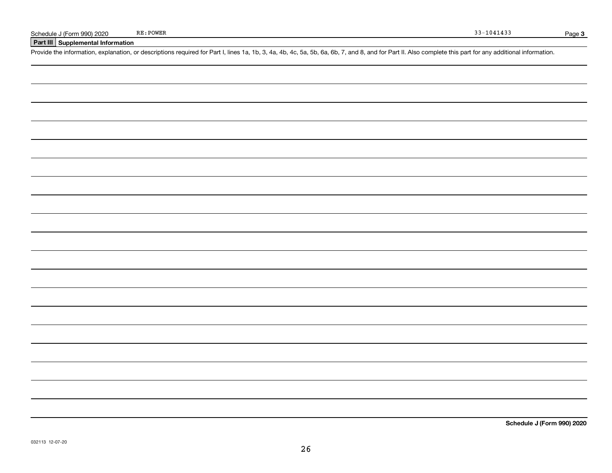Part III Supplemental Information

Provide the information, explanation, or descriptions required for Part I, lines 1a, 1b, 3, 4a, 4b, 4c, 5a, 5b, 6a, 6b, 7, and 8, and for Part II. Also complete this part for any additional information.

Schedule J (Form 990) 2020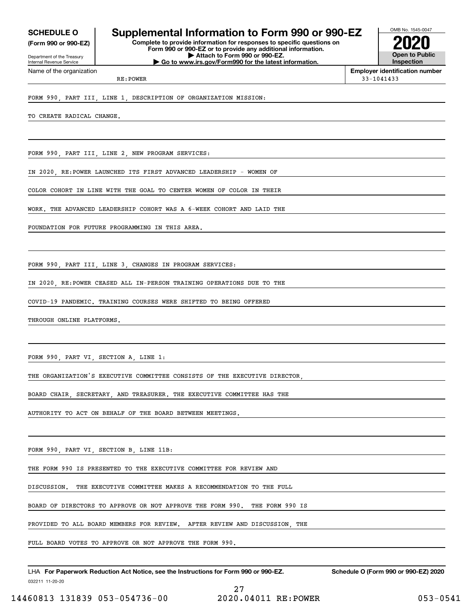(Form 990 or 990-EZ)

Department of the Treasury Internal Revenue Service Name of the organization

## SCHEDULE 0 | Supplemental Information to Form 990 or 990-EZ

Complete to provide information for responses to specific questions on Form 990 or 990-EZ or to provide any additional information. | Attach to Form 990 or 990-EZ. | Go to www.irs.gov/Form990 for the latest information.



Employer identification number RE: POWER 33-1041433

FORM 990, PART III, LINE 1, DESCRIPTION OF ORGANIZATION MISSION:

TO CREATE RADICAL CHANGE.

FORM 990, PART III, LINE 2, NEW PROGRAM SERVICES:

IN 2020, RE:POWER LAUNCHED ITS FIRST ADVANCED LEADERSHIP - WOMEN OF

COLOR COHORT IN LINE WITH THE GOAL TO CENTER WOMEN OF COLOR IN THEIR

WORK. THE ADVANCED LEADERSHIP COHORT WAS A 6-WEEK COHORT AND LAID THE

FOUNDATION FOR FUTURE PROGRAMMING IN THIS AREA.

FORM 990, PART III, LINE 3, CHANGES IN PROGRAM SERVICES:

IN 2020, RE:POWER CEASED ALL IN-PERSON TRAINING OPERATIONS DUE TO THE

COVID-19 PANDEMIC. TRAINING COURSES WERE SHIFTED TO BEING OFFERED

THROUGH ONLINE PLATFORMS.

FORM 990, PART VI, SECTION A, LINE 1:

THE ORGANIZATION'S EXECUTIVE COMMITTEE CONSISTS OF THE EXECUTIVE DIRECTOR,

BOARD CHAIR, SECRETARY, AND TREASURER. THE EXECUTIVE COMMITTEE HAS THE

AUTHORITY TO ACT ON BEHALF OF THE BOARD BETWEEN MEETINGS.

FORM 990, PART VI, SECTION B, LINE 11B:

THE FORM 990 IS PRESENTED TO THE EXECUTIVE COMMITTEE FOR REVIEW AND

DISCUSSION. THE EXECUTIVE COMMITTEE MAKES A RECOMMENDATION TO THE FULL

BOARD OF DIRECTORS TO APPROVE OR NOT APPROVE THE FORM 990. THE FORM 990 IS

PROVIDED TO ALL BOARD MEMBERS FOR REVIEW. AFTER REVIEW AND DISCUSSION, THE

FULL BOARD VOTES TO APPROVE OR NOT APPROVE THE FORM 990.

032211 11-20-20 LHA For Paperwork Reduction Act Notice, see the Instructions for Form 990 or 990-EZ. Schedule O (Form 990 or 990-EZ) 2020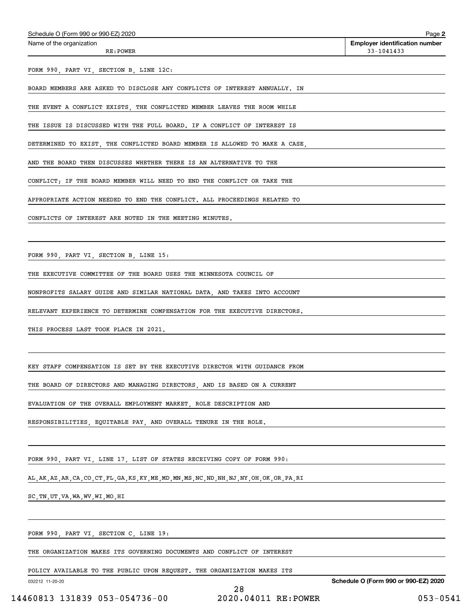| Schedule O (Form 990 or 990-EZ) 2020 | Page |
|--------------------------------------|------|
|--------------------------------------|------|

Name of the organization

Page 2 Employer identification number RE: POWER 33-1041433

FORM 990, PART VI, SECTION B, LINE 12C:

BOARD MEMBERS ARE ASKED TO DISCLOSE ANY CONFLICTS OF INTEREST ANNUALLY. IN

THE EVENT A CONFLICT EXISTS, THE CONFLICTED MEMBER LEAVES THE ROOM WHILE

THE ISSUE IS DISCUSSED WITH THE FULL BOARD. IF A CONFLICT OF INTEREST IS

DETERMINED TO EXIST, THE CONFLICTED BOARD MEMBER IS ALLOWED TO MAKE A CASE,

AND THE BOARD THEN DISCUSSES WHETHER THERE IS AN ALTERNATIVE TO THE

CONFLICT; IF THE BOARD MEMBER WILL NEED TO END THE CONFLICT OR TAKE THE

APPROPRIATE ACTION NEEDED TO END THE CONFLICT. ALL PROCEEDINGS RELATED TO

CONFLICTS OF INTEREST ARE NOTED IN THE MEETING MINUTES.

FORM 990, PART VI, SECTION B, LINE 15:

THE EXECUTIVE COMMITTEE OF THE BOARD USES THE MINNESOTA COUNCIL OF

NONPROFITS SALARY GUIDE AND SIMILAR NATIONAL DATA, AND TAKES INTO ACCOUNT

RELEVANT EXPERIENCE TO DETERMINE COMPENSATION FOR THE EXECUTIVE DIRECTORS.

THIS PROCESS LAST TOOK PLACE IN 2021.

KEY STAFF COMPENSATION IS SET BY THE EXECUTIVE DIRECTOR WITH GUIDANCE FROM

THE BOARD OF DIRECTORS AND MANAGING DIRECTORS, AND IS BASED ON A CURRENT

EVALUATION OF THE OVERALL EMPLOYMENT MARKET, ROLE DESCRIPTION AND

RESPONSIBILITIES, EQUITABLE PAY, AND OVERALL TENURE IN THE ROLE.

FORM 990, PART VI, LINE 17, LIST OF STATES RECEIVING COPY OF FORM 990:

AL,AK,AZ,AR,CA,CO,CT,FL,GA,KS,KY,ME,MD,MN,MS,NC,ND,NH,NJ,NY,OH,OK,OR,PA,RI

SC,TN,UT,VA,WA,WV,WI,MO,HI

FORM 990, PART VI, SECTION C, LINE 19:

THE ORGANIZATION MAKES ITS GOVERNING DOCUMENTS AND CONFLICT OF INTEREST

POLICY AVAILABLE TO THE PUBLIC UPON REQUEST. THE ORGANIZATION MAKES ITS

032212 11-20-20

Schedule O (Form 990 or 990-EZ) 2020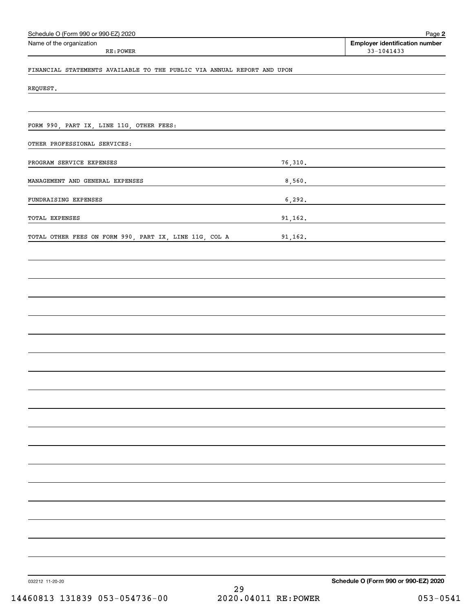| Schedule O (Form 990 or 990-EZ) 2020                                    | Page 2                                                  |
|-------------------------------------------------------------------------|---------------------------------------------------------|
| Name of the organization<br>RE: POWER                                   | <b>Employer identification number</b><br>$33 - 1041433$ |
| FINANCIAL STATEMENTS AVAILABLE TO THE PUBLIC VIA ANNUAL REPORT AND UPON |                                                         |
| REQUEST.                                                                |                                                         |
|                                                                         |                                                         |
| FORM 990, PART IX, LINE 11G, OTHER FEES:                                |                                                         |
| OTHER PROFESSIONAL SERVICES:                                            |                                                         |
| PROGRAM SERVICE EXPENSES                                                | 76,310.                                                 |
| MANAGEMENT AND GENERAL EXPENSES                                         |                                                         |
| FUNDRAISING EXPENSES                                                    |                                                         |
| TOTAL EXPENSES                                                          | 91,162.                                                 |
| TOTAL OTHER FEES ON FORM 990, PART IX, LINE 11G, COL A                  | 91, 162.                                                |
|                                                                         |                                                         |
|                                                                         |                                                         |
|                                                                         |                                                         |
|                                                                         |                                                         |
|                                                                         |                                                         |
|                                                                         |                                                         |
|                                                                         |                                                         |
|                                                                         |                                                         |
|                                                                         |                                                         |
|                                                                         |                                                         |
|                                                                         |                                                         |
|                                                                         |                                                         |
|                                                                         |                                                         |
|                                                                         |                                                         |
|                                                                         |                                                         |
|                                                                         |                                                         |
|                                                                         |                                                         |
|                                                                         |                                                         |
| 032212 11-20-20                                                         | Schedule O (Form 990 or 990-EZ) 2020                    |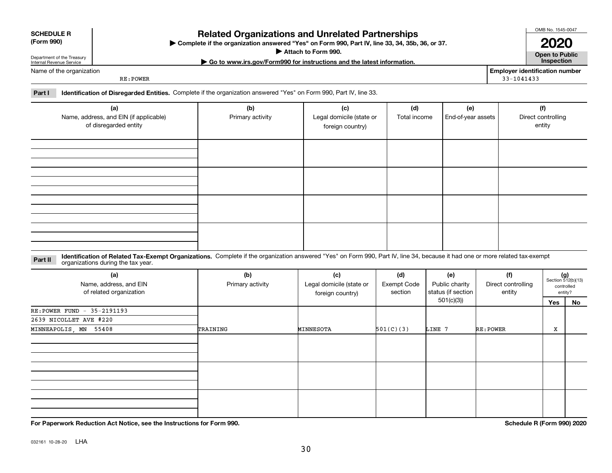| <b>SCHEDULE R</b> |  |
|-------------------|--|
| (Form 990)        |  |

### Related Organizations and Unrelated Partnerships

(Form 990) Complete if the organization answered "Yes" on Form 990, Part IV, line 33, 34, 35b, 36, or 37. |

▶ Attach to Form 990. **Open to Public** 

| Go to www.irs.gov/Form990 for instructions and the latest information. Inspection

OMB No. 1545-0047 2020

Name of the organization

Department of the Treasury Internal Revenue Service

RE:POWER

Employer identification number 33-1041433

Part I leentification of Disregarded Entities. Complete if the organization answered "Yes" on Form 990, Part IV, line 33.

| (a)<br>Name, address, and EIN (if applicable)<br>of disregarded entity | (b)<br>Primary activity | (c)<br>Legal domicile (state or<br>foreign country) | (d)<br>Total income | (e)<br>End-of-year assets | (f)<br>Direct controlling<br>entity |
|------------------------------------------------------------------------|-------------------------|-----------------------------------------------------|---------------------|---------------------------|-------------------------------------|
|                                                                        |                         |                                                     |                     |                           |                                     |
|                                                                        |                         |                                                     |                     |                           |                                     |
|                                                                        |                         |                                                     |                     |                           |                                     |
|                                                                        |                         |                                                     |                     |                           |                                     |

Part II Identification of Related Tax-Exempt Organizations. Complete if the organization answered "Yes" on Form 990, Part IV, line 34, because it had one or more related tax-exempt<br>Part II acconizations during the tax vear organizations during the tax year.

| (a)<br>Name, address, and EIN<br>of related organization | (b)<br>Primary activity | (c)<br>Legal domicile (state or<br>foreign country) | (d)<br>Exempt Code<br>section | (e)<br>Public charity<br>status (if section | (f)<br>Direct controlling<br>entity |     | $(g)$<br>Section 512(b)(13)<br>controlled<br>entity? |  |
|----------------------------------------------------------|-------------------------|-----------------------------------------------------|-------------------------------|---------------------------------------------|-------------------------------------|-----|------------------------------------------------------|--|
|                                                          |                         |                                                     |                               | 501(c)(3))                                  |                                     | Yes | No                                                   |  |
| RE: POWER FUND - 35-2191193                              |                         |                                                     |                               |                                             |                                     |     |                                                      |  |
| 2639 NICOLLET AVE #220                                   |                         |                                                     |                               |                                             |                                     |     |                                                      |  |
| MINNEAPOLIS, MN 55408                                    | TRAINING                | MINNESOTA                                           | 501(C)(3)                     | LINE 7                                      | RE: POWER                           | х   |                                                      |  |
|                                                          |                         |                                                     |                               |                                             |                                     |     |                                                      |  |
|                                                          |                         |                                                     |                               |                                             |                                     |     |                                                      |  |
|                                                          |                         |                                                     |                               |                                             |                                     |     |                                                      |  |

For Paperwork Reduction Act Notice, see the Instructions for Form 990. Schedule R (Form 990) 2020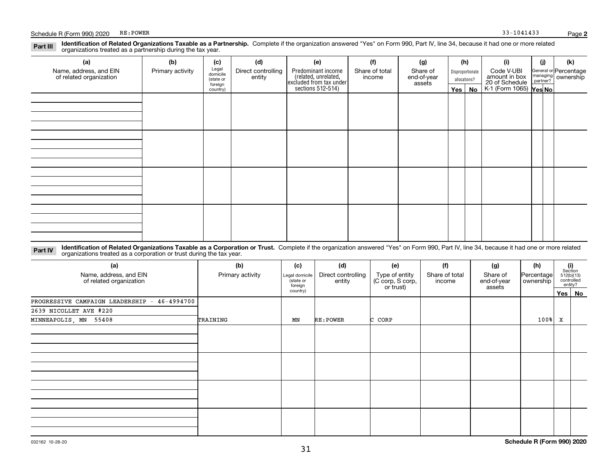#### Part III Identification of Related Organizations Taxable as a Partnership. Complete if the organization answered "Yes" on Form 990, Part IV, line 34, because it had one or more related<br>examples the complete included as a p organizations treated as a partnership during the tax year.

| (a)                                               | (b)              | (c)                                            | (d)                          | (e)                                                                 | (f)                      | (g)                     |     | (h)              | (i)                                                       | (j) | (k)                                                     |  |  |  |  |  |  |  |
|---------------------------------------------------|------------------|------------------------------------------------|------------------------------|---------------------------------------------------------------------|--------------------------|-------------------------|-----|------------------|-----------------------------------------------------------|-----|---------------------------------------------------------|--|--|--|--|--|--|--|
| Name, address, and EIN<br>of related organization | Primary activity | Legal<br>domicile                              | Direct controlling<br>entity | Predominant income                                                  | Share of total<br>income | Share of<br>end-of-year |     | Disproportionate | Code V-UBI                                                |     | General or Percentage<br>managing ownership<br>partner? |  |  |  |  |  |  |  |
|                                                   |                  | allocations?<br>(state or<br>assets<br>foreign |                              |                                                                     |                          |                         |     |                  |                                                           |     |                                                         |  |  |  |  |  |  |  |
|                                                   |                  | country)                                       |                              | related, unrelated,<br>excluded from tax under<br>sections 512-514) |                          |                         | Yes | No               | amount in box<br>20 of Schedule<br>K-1 (Form 1065) Yes No |     |                                                         |  |  |  |  |  |  |  |
|                                                   |                  |                                                |                              |                                                                     |                          |                         |     |                  |                                                           |     |                                                         |  |  |  |  |  |  |  |
|                                                   |                  |                                                |                              |                                                                     |                          |                         |     |                  |                                                           |     |                                                         |  |  |  |  |  |  |  |
|                                                   |                  |                                                |                              |                                                                     |                          |                         |     |                  |                                                           |     |                                                         |  |  |  |  |  |  |  |
|                                                   |                  |                                                |                              |                                                                     |                          |                         |     |                  |                                                           |     |                                                         |  |  |  |  |  |  |  |
|                                                   |                  |                                                |                              |                                                                     |                          |                         |     |                  |                                                           |     |                                                         |  |  |  |  |  |  |  |
|                                                   |                  |                                                |                              |                                                                     |                          |                         |     |                  |                                                           |     |                                                         |  |  |  |  |  |  |  |
|                                                   |                  |                                                |                              |                                                                     |                          |                         |     |                  |                                                           |     |                                                         |  |  |  |  |  |  |  |
|                                                   |                  |                                                |                              |                                                                     |                          |                         |     |                  |                                                           |     |                                                         |  |  |  |  |  |  |  |
|                                                   |                  |                                                |                              |                                                                     |                          |                         |     |                  |                                                           |     |                                                         |  |  |  |  |  |  |  |
|                                                   |                  |                                                |                              |                                                                     |                          |                         |     |                  |                                                           |     |                                                         |  |  |  |  |  |  |  |
|                                                   |                  |                                                |                              |                                                                     |                          |                         |     |                  |                                                           |     |                                                         |  |  |  |  |  |  |  |
|                                                   |                  |                                                |                              |                                                                     |                          |                         |     |                  |                                                           |     |                                                         |  |  |  |  |  |  |  |
|                                                   |                  |                                                |                              |                                                                     |                          |                         |     |                  |                                                           |     |                                                         |  |  |  |  |  |  |  |
|                                                   |                  |                                                |                              |                                                                     |                          |                         |     |                  |                                                           |     |                                                         |  |  |  |  |  |  |  |
|                                                   |                  |                                                |                              |                                                                     |                          |                         |     |                  |                                                           |     |                                                         |  |  |  |  |  |  |  |
|                                                   |                  |                                                |                              |                                                                     |                          |                         |     |                  |                                                           |     |                                                         |  |  |  |  |  |  |  |
|                                                   |                  |                                                |                              |                                                                     |                          |                         |     |                  |                                                           |     |                                                         |  |  |  |  |  |  |  |

Part IV Identification of Related Organizations Taxable as a Corporation or Trust. Complete if the organization answered "Yes" on Form 990, Part IV, line 34, because it had one or more related organizations treated as a corporation or trust during the tax year.

| (a)<br>Name, address, and EIN<br>of related organization | (b)<br>Primary activity | (c)<br>Legal domicile<br>(state or<br>foreign<br>country) | (d)<br>Direct controlling<br>entity | (e)<br>Type of entity<br>(C corp, S corp,<br>or trust) | (f)<br>Share of total<br>income | (g)<br>Share of<br>end-of-year<br>assets | (h)<br>Percentage<br>ownership |   | $\begin{array}{c} \textbf{(i)}\\ \text{Section}\\ 512 \text{(b)} \text{(13)}\\ \text{controlled}\end{array}$<br>entity? |
|----------------------------------------------------------|-------------------------|-----------------------------------------------------------|-------------------------------------|--------------------------------------------------------|---------------------------------|------------------------------------------|--------------------------------|---|-------------------------------------------------------------------------------------------------------------------------|
| PROGRESSIVE CAMPAIGN LEADERSHIP - 46-4994700             |                         |                                                           |                                     |                                                        |                                 |                                          |                                |   | Yes No                                                                                                                  |
| 2639 NICOLLET AVE #220                                   |                         |                                                           |                                     |                                                        |                                 |                                          |                                |   |                                                                                                                         |
| MINNEAPOLIS, MN 55408                                    | TRAINING                | MN                                                        | RE: POWER                           | C CORP                                                 |                                 |                                          | $100$ <sup>8</sup>             | x |                                                                                                                         |
|                                                          |                         |                                                           |                                     |                                                        |                                 |                                          |                                |   |                                                                                                                         |
|                                                          |                         |                                                           |                                     |                                                        |                                 |                                          |                                |   |                                                                                                                         |
|                                                          |                         |                                                           |                                     |                                                        |                                 |                                          |                                |   |                                                                                                                         |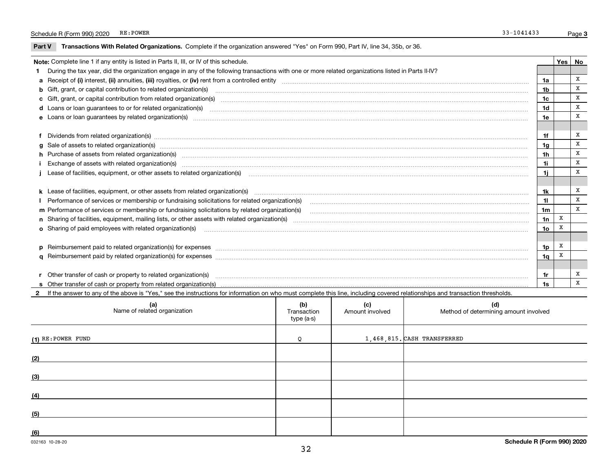$\overline{\phantom{a}}$ 

Part V Transactions With Related Organizations. Complete if the organization answered "Yes" on Form 990, Part IV, line 34, 35b, or 36.

| Note: Complete line 1 if any entity is listed in Parts II, III, or IV of this schedule.                                                                                                                                        |                 | Yes   No |              |
|--------------------------------------------------------------------------------------------------------------------------------------------------------------------------------------------------------------------------------|-----------------|----------|--------------|
| During the tax year, did the organization engage in any of the following transactions with one or more related organizations listed in Parts II-IV?                                                                            |                 |          |              |
|                                                                                                                                                                                                                                | 1a              |          | X            |
| b Gift, grant, or capital contribution to related organization(s) manufactured and contribution to related organization(s)                                                                                                     | 1b              |          | X            |
| c Gift, grant, or capital contribution from related organization(s)                                                                                                                                                            | 1c              |          | X            |
|                                                                                                                                                                                                                                | 1d              |          | х            |
| e Loans or loan guarantees by related organization(s) www.communically.communically and contract the communication of the communication (s) and contract the communication (s) and contract the communication of the communica | 1e              |          | X            |
|                                                                                                                                                                                                                                |                 |          |              |
| f Dividends from related organization(s) material contracts and contracts are contracted as a contract of the contract of the contract of the contract or contract or contract or contract or contract or contract or contract | 1f              |          | X            |
| g Sale of assets to related organization(s) www.assettion.com/www.assettion.com/www.assettion.com/www.assettion.com/www.assettion.com/www.assettion.com/www.assettion.com/www.assettion.com/www.assettion.com/www.assettion.co | 1 <sub>g</sub>  |          | x            |
| h Purchase of assets from related organization(s) manufactured and content to content the content of assets from related organization(s)                                                                                       | 1h              |          | х            |
|                                                                                                                                                                                                                                | 1i              |          | X            |
| Lease of facilities, equipment, or other assets to related organization(s) Chromomorom Chromomorom Chromomorom Chromomorom Chromomorom Chromomorom Chromomorom Chromomorom Chromomorom Chromomorom Chromomorom Chromomorom Chr | 1i              |          | X            |
|                                                                                                                                                                                                                                |                 |          |              |
|                                                                                                                                                                                                                                | 1k              |          | х            |
| Performance of services or membership or fundraising solicitations for related organization(s)                                                                                                                                 | 11              |          | X            |
|                                                                                                                                                                                                                                | 1 <sub>m</sub>  |          | $\mathbf{x}$ |
|                                                                                                                                                                                                                                | 1n              | X        |              |
| o Sharing of paid employees with related organization(s) manufactured and content to the state of the state organization(s)                                                                                                    | 10 <sub>o</sub> | X        |              |
|                                                                                                                                                                                                                                |                 |          |              |
| p Reimbursement paid to related organization(s) for expenses [111] resummand content to content the set of the set of the set of the set of the set of the set of the set of the set of the set of the set of the set of the s | 1p              | х        |              |
|                                                                                                                                                                                                                                | 1q              | x        |              |
|                                                                                                                                                                                                                                |                 |          |              |
|                                                                                                                                                                                                                                | 1r              |          | Х            |
|                                                                                                                                                                                                                                | 1s              |          | x            |

2 If the answer to any of the above is "Yes," see the instructions for information on who must complete this line, including covered relationships and transaction thresholds.

| (a)<br>Name of related organization | (b)<br>Transaction<br>type (a-s) | (c)<br>Amount involved | (d)<br>Method of determining amount involved |
|-------------------------------------|----------------------------------|------------------------|----------------------------------------------|
| $(1)$ RE: POWER FUND                | Q                                |                        | 1,468,815. CASH TRANSFERRED                  |
| (2)                                 |                                  |                        |                                              |
| (3)                                 |                                  |                        |                                              |
| (4)                                 |                                  |                        |                                              |
| (5)                                 |                                  |                        |                                              |
| (6)                                 |                                  |                        |                                              |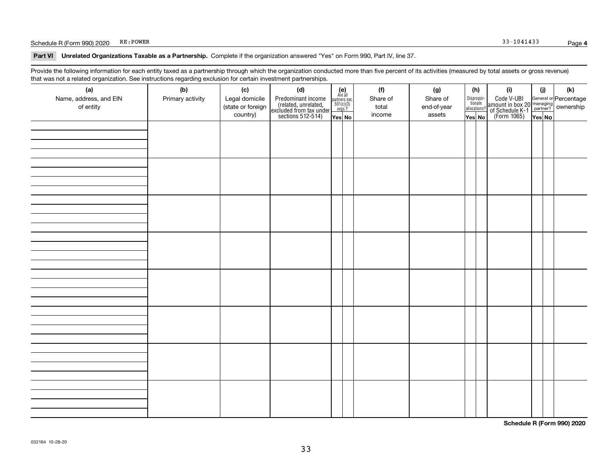#### Schedule R (Form 990) 2020 RE: POWER 33-1041433

#### Part VI Unrelated Organizations Taxable as a Partnership. Complete if the organization answered "Yes" on Form 990, Part IV, line 37.

Provide the following information for each entity taxed as a partnership through which the organization conducted more than five percent of its activities (measured by total assets or gross revenue) that was not a related organization. See instructions regarding exclusion for certain investment partnerships.

| - - - - -<br>(a)<br>Name, address, and EIN<br>of entity | ----- <del>-</del> -------<br>(b)<br>Primary activity | (c)<br>Legal domicile<br>(state or foreign<br>country) | (d)<br>Predominant income<br>(related, unrelated,<br>excluded from tax under<br>sections 512-514) | (e)<br>Are all<br>partners sec.<br>$501(c)(3)$<br>orgs.?<br>Yes No | (f)<br>Share of<br>total<br>income | (g)<br>Share of<br>end-of-year<br>assets | (h)<br>Dispropor-<br>tionate<br>allocations?<br>Yes No | (i)<br>Code V-UBI<br>amount in box 20 managing<br>of Schedule K-1<br>(Form 1065)<br>$\overline{Yes}$ No | (i)<br>Yes No | (k) |
|---------------------------------------------------------|-------------------------------------------------------|--------------------------------------------------------|---------------------------------------------------------------------------------------------------|--------------------------------------------------------------------|------------------------------------|------------------------------------------|--------------------------------------------------------|---------------------------------------------------------------------------------------------------------|---------------|-----|
|                                                         |                                                       |                                                        |                                                                                                   |                                                                    |                                    |                                          |                                                        |                                                                                                         |               |     |
|                                                         |                                                       |                                                        |                                                                                                   |                                                                    |                                    |                                          |                                                        |                                                                                                         |               |     |
|                                                         |                                                       |                                                        |                                                                                                   |                                                                    |                                    |                                          |                                                        |                                                                                                         |               |     |
|                                                         |                                                       |                                                        |                                                                                                   |                                                                    |                                    |                                          |                                                        |                                                                                                         |               |     |
|                                                         |                                                       |                                                        |                                                                                                   |                                                                    |                                    |                                          |                                                        |                                                                                                         |               |     |
|                                                         |                                                       |                                                        |                                                                                                   |                                                                    |                                    |                                          |                                                        |                                                                                                         |               |     |
|                                                         |                                                       |                                                        |                                                                                                   |                                                                    |                                    |                                          |                                                        |                                                                                                         |               |     |
|                                                         |                                                       |                                                        |                                                                                                   |                                                                    |                                    |                                          |                                                        |                                                                                                         |               |     |

Schedule R (Form 990) 2020